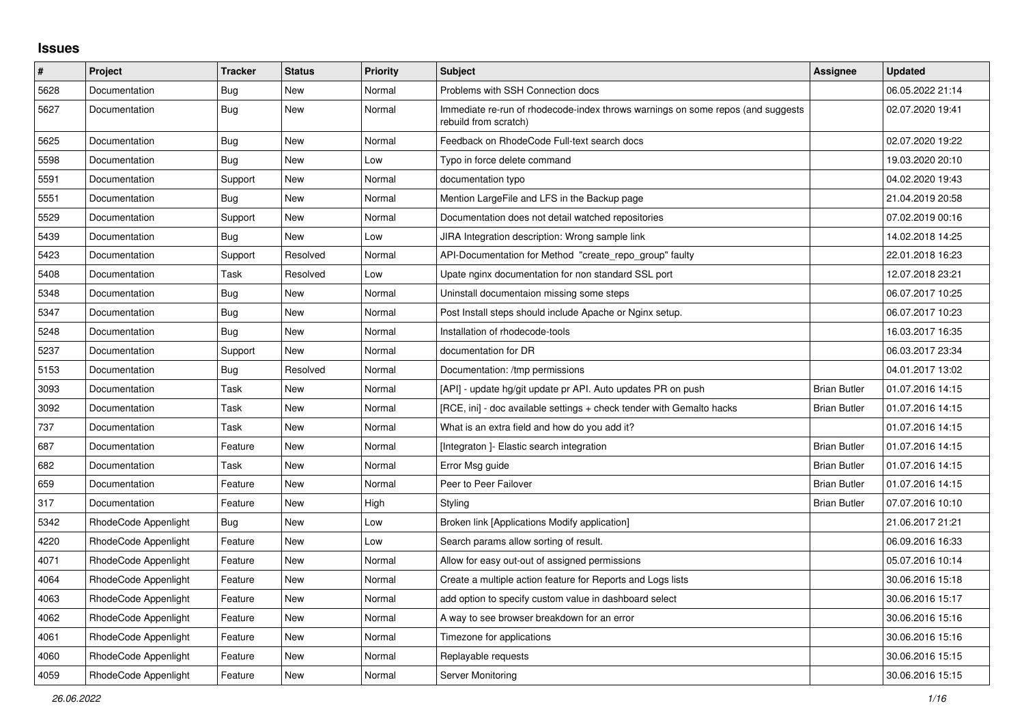## **Issues**

| $\sharp$ | <b>Project</b>       | <b>Tracker</b> | <b>Status</b> | <b>Priority</b> | <b>Subject</b>                                                                                           | Assignee            | <b>Updated</b>   |
|----------|----------------------|----------------|---------------|-----------------|----------------------------------------------------------------------------------------------------------|---------------------|------------------|
| 5628     | Documentation        | Bug            | <b>New</b>    | Normal          | Problems with SSH Connection docs                                                                        |                     | 06.05.2022 21:14 |
| 5627     | Documentation        | Bug            | New           | Normal          | Immediate re-run of rhodecode-index throws warnings on some repos (and suggests<br>rebuild from scratch) |                     | 02.07.2020 19:41 |
| 5625     | Documentation        | <b>Bug</b>     | New           | Normal          | Feedback on RhodeCode Full-text search docs                                                              |                     | 02.07.2020 19:22 |
| 5598     | Documentation        | Bug            | New           | Low             | Typo in force delete command                                                                             |                     | 19.03.2020 20:10 |
| 5591     | Documentation        | Support        | New           | Normal          | documentation typo                                                                                       |                     | 04.02.2020 19:43 |
| 5551     | Documentation        | Bug            | New           | Normal          | Mention LargeFile and LFS in the Backup page                                                             |                     | 21.04.2019 20:58 |
| 5529     | Documentation        | Support        | New           | Normal          | Documentation does not detail watched repositories                                                       |                     | 07.02.2019 00:16 |
| 5439     | Documentation        | <b>Bug</b>     | New           | Low             | JIRA Integration description: Wrong sample link                                                          |                     | 14.02.2018 14:25 |
| 5423     | Documentation        | Support        | Resolved      | Normal          | API-Documentation for Method "create_repo_group" faulty                                                  |                     | 22.01.2018 16:23 |
| 5408     | Documentation        | Task           | Resolved      | Low             | Upate nginx documentation for non standard SSL port                                                      |                     | 12.07.2018 23:21 |
| 5348     | Documentation        | <b>Bug</b>     | <b>New</b>    | Normal          | Uninstall documentaion missing some steps                                                                |                     | 06.07.2017 10:25 |
| 5347     | Documentation        | Bug            | New           | Normal          | Post Install steps should include Apache or Nginx setup.                                                 |                     | 06.07.2017 10:23 |
| 5248     | Documentation        | <b>Bug</b>     | New           | Normal          | Installation of rhodecode-tools                                                                          |                     | 16.03.2017 16:35 |
| 5237     | Documentation        | Support        | New           | Normal          | documentation for DR                                                                                     |                     | 06.03.2017 23:34 |
| 5153     | Documentation        | Bug            | Resolved      | Normal          | Documentation: /tmp permissions                                                                          |                     | 04.01.2017 13:02 |
| 3093     | Documentation        | Task           | <b>New</b>    | Normal          | [API] - update hg/git update pr API. Auto updates PR on push                                             | <b>Brian Butler</b> | 01.07.2016 14:15 |
| 3092     | Documentation        | Task           | New           | Normal          | [RCE, ini] - doc available settings + check tender with Gemalto hacks                                    | <b>Brian Butler</b> | 01.07.2016 14:15 |
| 737      | Documentation        | Task           | New           | Normal          | What is an extra field and how do you add it?                                                            |                     | 01.07.2016 14:15 |
| 687      | Documentation        | Feature        | New           | Normal          | [Integraton] - Elastic search integration                                                                | <b>Brian Butler</b> | 01.07.2016 14:15 |
| 682      | Documentation        | Task           | <b>New</b>    | Normal          | Error Msg guide                                                                                          | <b>Brian Butler</b> | 01.07.2016 14:15 |
| 659      | Documentation        | Feature        | <b>New</b>    | Normal          | Peer to Peer Failover                                                                                    | <b>Brian Butler</b> | 01.07.2016 14:15 |
| 317      | Documentation        | Feature        | New           | High            | Styling                                                                                                  | <b>Brian Butler</b> | 07.07.2016 10:10 |
| 5342     | RhodeCode Appenlight | Bug            | New           | Low             | Broken link [Applications Modify application]                                                            |                     | 21.06.2017 21:21 |
| 4220     | RhodeCode Appenlight | Feature        | New           | Low             | Search params allow sorting of result.                                                                   |                     | 06.09.2016 16:33 |
| 4071     | RhodeCode Appenlight | Feature        | New           | Normal          | Allow for easy out-out of assigned permissions                                                           |                     | 05.07.2016 10:14 |
| 4064     | RhodeCode Appenlight | Feature        | New           | Normal          | Create a multiple action feature for Reports and Logs lists                                              |                     | 30.06.2016 15:18 |
| 4063     | RhodeCode Appenlight | Feature        | New           | Normal          | add option to specify custom value in dashboard select                                                   |                     | 30.06.2016 15:17 |
| 4062     | RhodeCode Appenlight | Feature        | New           | Normal          | A way to see browser breakdown for an error                                                              |                     | 30.06.2016 15:16 |
| 4061     | RhodeCode Appenlight | Feature        | <b>New</b>    | Normal          | Timezone for applications                                                                                |                     | 30.06.2016 15:16 |
| 4060     | RhodeCode Appenlight | Feature        | <b>New</b>    | Normal          | Replayable requests                                                                                      |                     | 30.06.2016 15:15 |
| 4059     | RhodeCode Appenlight | Feature        | New           | Normal          | Server Monitoring                                                                                        |                     | 30.06.2016 15:15 |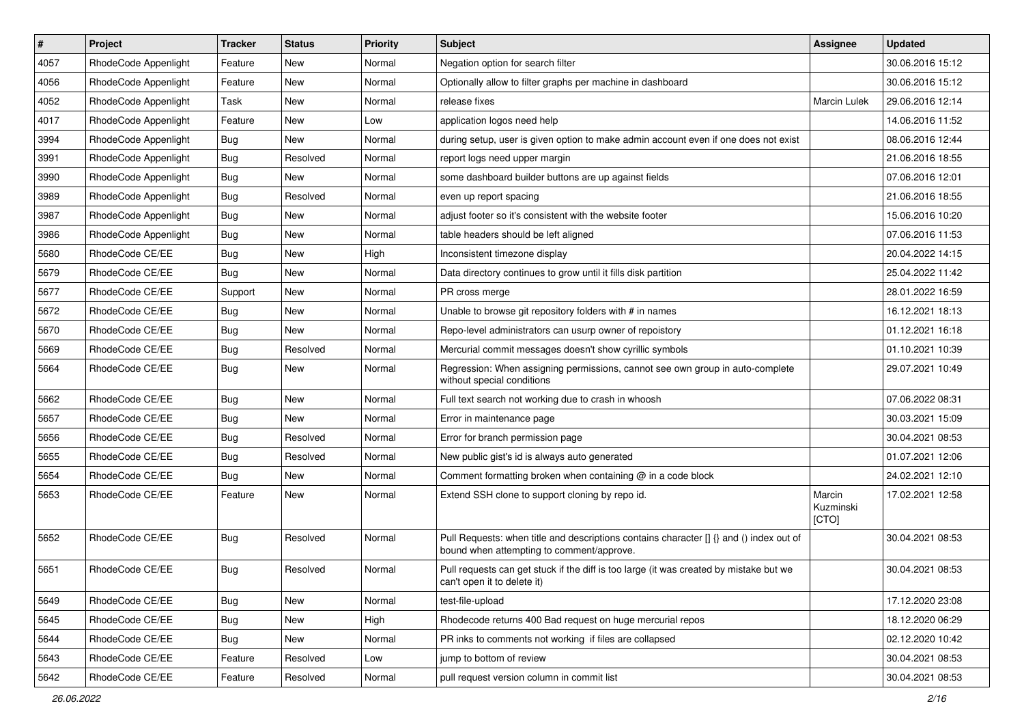| $\pmb{\#}$ | Project              | <b>Tracker</b> | <b>Status</b> | <b>Priority</b> | Subject                                                                                                                              | <b>Assignee</b>              | <b>Updated</b>   |
|------------|----------------------|----------------|---------------|-----------------|--------------------------------------------------------------------------------------------------------------------------------------|------------------------------|------------------|
| 4057       | RhodeCode Appenlight | Feature        | New           | Normal          | Negation option for search filter                                                                                                    |                              | 30.06.2016 15:12 |
| 4056       | RhodeCode Appenlight | Feature        | New           | Normal          | Optionally allow to filter graphs per machine in dashboard                                                                           |                              | 30.06.2016 15:12 |
| 4052       | RhodeCode Appenlight | Task           | New           | Normal          | release fixes                                                                                                                        | <b>Marcin Lulek</b>          | 29.06.2016 12:14 |
| 4017       | RhodeCode Appenlight | Feature        | New           | Low             | application logos need help                                                                                                          |                              | 14.06.2016 11:52 |
| 3994       | RhodeCode Appenlight | <b>Bug</b>     | <b>New</b>    | Normal          | during setup, user is given option to make admin account even if one does not exist                                                  |                              | 08.06.2016 12:44 |
| 3991       | RhodeCode Appenlight | Bug            | Resolved      | Normal          | report logs need upper margin                                                                                                        |                              | 21.06.2016 18:55 |
| 3990       | RhodeCode Appenlight | Bug            | New           | Normal          | some dashboard builder buttons are up against fields                                                                                 |                              | 07.06.2016 12:01 |
| 3989       | RhodeCode Appenlight | Bug            | Resolved      | Normal          | even up report spacing                                                                                                               |                              | 21.06.2016 18:55 |
| 3987       | RhodeCode Appenlight | Bug            | New           | Normal          | adjust footer so it's consistent with the website footer                                                                             |                              | 15.06.2016 10:20 |
| 3986       | RhodeCode Appenlight | Bug            | New           | Normal          | table headers should be left aligned                                                                                                 |                              | 07.06.2016 11:53 |
| 5680       | RhodeCode CE/EE      | <b>Bug</b>     | New           | High            | Inconsistent timezone display                                                                                                        |                              | 20.04.2022 14:15 |
| 5679       | RhodeCode CE/EE      | Bug            | New           | Normal          | Data directory continues to grow until it fills disk partition                                                                       |                              | 25.04.2022 11:42 |
| 5677       | RhodeCode CE/EE      | Support        | New           | Normal          | PR cross merge                                                                                                                       |                              | 28.01.2022 16:59 |
| 5672       | RhodeCode CE/EE      | <b>Bug</b>     | New           | Normal          | Unable to browse git repository folders with # in names                                                                              |                              | 16.12.2021 18:13 |
| 5670       | RhodeCode CE/EE      | <b>Bug</b>     | New           | Normal          | Repo-level administrators can usurp owner of repoistory                                                                              |                              | 01.12.2021 16:18 |
| 5669       | RhodeCode CE/EE      | Bug            | Resolved      | Normal          | Mercurial commit messages doesn't show cyrillic symbols                                                                              |                              | 01.10.2021 10:39 |
| 5664       | RhodeCode CE/EE      | <b>Bug</b>     | New           | Normal          | Regression: When assigning permissions, cannot see own group in auto-complete<br>without special conditions                          |                              | 29.07.2021 10:49 |
| 5662       | RhodeCode CE/EE      | Bug            | New           | Normal          | Full text search not working due to crash in whoosh                                                                                  |                              | 07.06.2022 08:31 |
| 5657       | RhodeCode CE/EE      | Bug            | New           | Normal          | Error in maintenance page                                                                                                            |                              | 30.03.2021 15:09 |
| 5656       | RhodeCode CE/EE      | Bug            | Resolved      | Normal          | Error for branch permission page                                                                                                     |                              | 30.04.2021 08:53 |
| 5655       | RhodeCode CE/EE      | <b>Bug</b>     | Resolved      | Normal          | New public gist's id is always auto generated                                                                                        |                              | 01.07.2021 12:06 |
| 5654       | RhodeCode CE/EE      | <b>Bug</b>     | New           | Normal          | Comment formatting broken when containing @ in a code block                                                                          |                              | 24.02.2021 12:10 |
| 5653       | RhodeCode CE/EE      | Feature        | New           | Normal          | Extend SSH clone to support cloning by repo id.                                                                                      | Marcin<br>Kuzminski<br>[CTO] | 17.02.2021 12:58 |
| 5652       | RhodeCode CE/EE      | Bug            | Resolved      | Normal          | Pull Requests: when title and descriptions contains character [] {} and () index out of<br>bound when attempting to comment/approve. |                              | 30.04.2021 08:53 |
| 5651       | RhodeCode CE/EE      | Bug            | Resolved      | Normal          | Pull requests can get stuck if the diff is too large (it was created by mistake but we<br>can't open it to delete it)                |                              | 30.04.2021 08:53 |
| 5649       | RhodeCode CE/EE      | Bug            | <b>New</b>    | Normal          | test-file-upload                                                                                                                     |                              | 17.12.2020 23:08 |
| 5645       | RhodeCode CE/EE      | Bug            | New           | High            | Rhodecode returns 400 Bad request on huge mercurial repos                                                                            |                              | 18.12.2020 06:29 |
| 5644       | RhodeCode CE/EE      | Bug            | New           | Normal          | PR inks to comments not working if files are collapsed                                                                               |                              | 02.12.2020 10:42 |
| 5643       | RhodeCode CE/EE      | Feature        | Resolved      | Low             | jump to bottom of review                                                                                                             |                              | 30.04.2021 08:53 |
| 5642       | RhodeCode CE/EE      | Feature        | Resolved      | Normal          | pull request version column in commit list                                                                                           |                              | 30.04.2021 08:53 |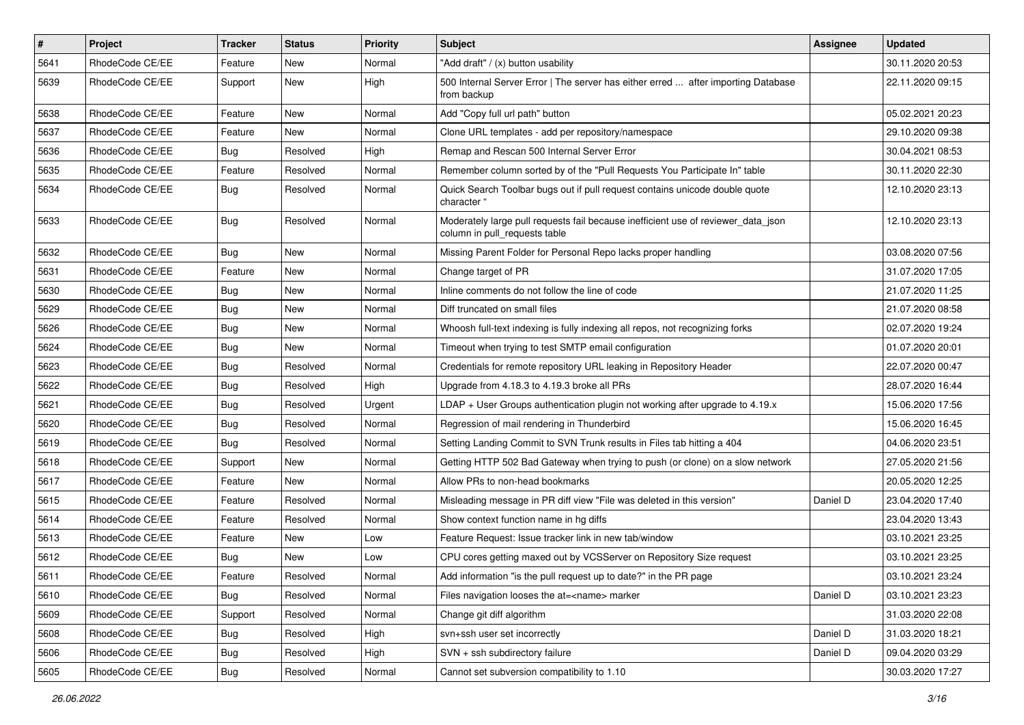| $\sharp$ | Project         | <b>Tracker</b> | <b>Status</b> | <b>Priority</b> | <b>Subject</b>                                                                                                     | Assignee | <b>Updated</b>   |
|----------|-----------------|----------------|---------------|-----------------|--------------------------------------------------------------------------------------------------------------------|----------|------------------|
| 5641     | RhodeCode CE/EE | Feature        | New           | Normal          | "Add draft" / (x) button usability                                                                                 |          | 30.11.2020 20:53 |
| 5639     | RhodeCode CE/EE | Support        | New           | High            | 500 Internal Server Error   The server has either erred  after importing Database<br>from backup                   |          | 22.11.2020 09:15 |
| 5638     | RhodeCode CE/EE | Feature        | New           | Normal          | Add "Copy full url path" button                                                                                    |          | 05.02.2021 20:23 |
| 5637     | RhodeCode CE/EE | Feature        | New           | Normal          | Clone URL templates - add per repository/namespace                                                                 |          | 29.10.2020 09:38 |
| 5636     | RhodeCode CE/EE | Bug            | Resolved      | High            | Remap and Rescan 500 Internal Server Error                                                                         |          | 30.04.2021 08:53 |
| 5635     | RhodeCode CE/EE | Feature        | Resolved      | Normal          | Remember column sorted by of the "Pull Requests You Participate In" table                                          |          | 30.11.2020 22:30 |
| 5634     | RhodeCode CE/EE | <b>Bug</b>     | Resolved      | Normal          | Quick Search Toolbar bugs out if pull request contains unicode double quote<br>character "                         |          | 12.10.2020 23:13 |
| 5633     | RhodeCode CE/EE | Bug            | Resolved      | Normal          | Moderately large pull requests fail because inefficient use of reviewer_data_json<br>column in pull requests table |          | 12.10.2020 23:13 |
| 5632     | RhodeCode CE/EE | Bug            | New           | Normal          | Missing Parent Folder for Personal Repo lacks proper handling                                                      |          | 03.08.2020 07:56 |
| 5631     | RhodeCode CE/EE | Feature        | New           | Normal          | Change target of PR                                                                                                |          | 31.07.2020 17:05 |
| 5630     | RhodeCode CE/EE | Bug            | New           | Normal          | Inline comments do not follow the line of code                                                                     |          | 21.07.2020 11:25 |
| 5629     | RhodeCode CE/EE | <b>Bug</b>     | New           | Normal          | Diff truncated on small files                                                                                      |          | 21.07.2020 08:58 |
| 5626     | RhodeCode CE/EE | <b>Bug</b>     | New           | Normal          | Whoosh full-text indexing is fully indexing all repos, not recognizing forks                                       |          | 02.07.2020 19:24 |
| 5624     | RhodeCode CE/EE | Bug            | New           | Normal          | Timeout when trying to test SMTP email configuration                                                               |          | 01.07.2020 20:01 |
| 5623     | RhodeCode CE/EE | <b>Bug</b>     | Resolved      | Normal          | Credentials for remote repository URL leaking in Repository Header                                                 |          | 22.07.2020 00:47 |
| 5622     | RhodeCode CE/EE | Bug            | Resolved      | High            | Upgrade from 4.18.3 to 4.19.3 broke all PRs                                                                        |          | 28.07.2020 16:44 |
| 5621     | RhodeCode CE/EE | <b>Bug</b>     | Resolved      | Urgent          | $LDAP + User Groups authentication playing not working after upgrade to 4.19.x$                                    |          | 15.06.2020 17:56 |
| 5620     | RhodeCode CE/EE | Bug            | Resolved      | Normal          | Regression of mail rendering in Thunderbird                                                                        |          | 15.06.2020 16:45 |
| 5619     | RhodeCode CE/EE | Bug            | Resolved      | Normal          | Setting Landing Commit to SVN Trunk results in Files tab hitting a 404                                             |          | 04.06.2020 23:51 |
| 5618     | RhodeCode CE/EE | Support        | New           | Normal          | Getting HTTP 502 Bad Gateway when trying to push (or clone) on a slow network                                      |          | 27.05.2020 21:56 |
| 5617     | RhodeCode CE/EE | Feature        | New           | Normal          | Allow PRs to non-head bookmarks                                                                                    |          | 20.05.2020 12:25 |
| 5615     | RhodeCode CE/EE | Feature        | Resolved      | Normal          | Misleading message in PR diff view "File was deleted in this version"                                              | Daniel D | 23.04.2020 17:40 |
| 5614     | RhodeCode CE/EE | Feature        | Resolved      | Normal          | Show context function name in hg diffs                                                                             |          | 23.04.2020 13:43 |
| 5613     | RhodeCode CE/EE | Feature        | New           | Low             | Feature Request: Issue tracker link in new tab/window                                                              |          | 03.10.2021 23:25 |
| 5612     | RhodeCode CE/EE | Bug            | New           | Low             | CPU cores getting maxed out by VCSServer on Repository Size request                                                |          | 03.10.2021 23:25 |
| 5611     | RhodeCode CE/EE | Feature        | Resolved      | Normal          | Add information "is the pull request up to date?" in the PR page                                                   |          | 03.10.2021 23:24 |
| 5610     | RhodeCode CE/EE | Bug            | Resolved      | Normal          | Files navigation looses the at= <name> marker</name>                                                               | Daniel D | 03.10.2021 23:23 |
| 5609     | RhodeCode CE/EE | Support        | Resolved      | Normal          | Change git diff algorithm                                                                                          |          | 31.03.2020 22:08 |
| 5608     | RhodeCode CE/EE | <b>Bug</b>     | Resolved      | High            | svn+ssh user set incorrectly                                                                                       | Daniel D | 31.03.2020 18:21 |
| 5606     | RhodeCode CE/EE | Bug            | Resolved      | High            | SVN + ssh subdirectory failure                                                                                     | Daniel D | 09.04.2020 03:29 |
| 5605     | RhodeCode CE/EE | Bug            | Resolved      | Normal          | Cannot set subversion compatibility to 1.10                                                                        |          | 30.03.2020 17:27 |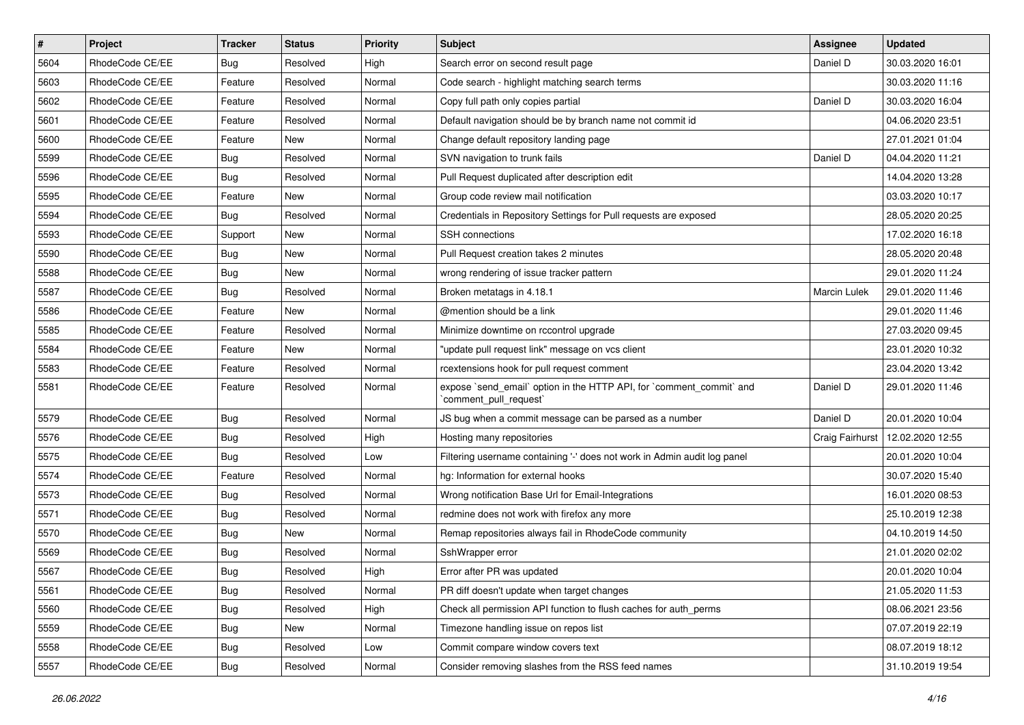| $\vert$ # | Project         | <b>Tracker</b> | <b>Status</b> | <b>Priority</b> | Subject                                                                                        | Assignee        | <b>Updated</b>   |
|-----------|-----------------|----------------|---------------|-----------------|------------------------------------------------------------------------------------------------|-----------------|------------------|
| 5604      | RhodeCode CE/EE | <b>Bug</b>     | Resolved      | High            | Search error on second result page                                                             | Daniel D        | 30.03.2020 16:01 |
| 5603      | RhodeCode CE/EE | Feature        | Resolved      | Normal          | Code search - highlight matching search terms                                                  |                 | 30.03.2020 11:16 |
| 5602      | RhodeCode CE/EE | Feature        | Resolved      | Normal          | Copy full path only copies partial                                                             | Daniel D        | 30.03.2020 16:04 |
| 5601      | RhodeCode CE/EE | Feature        | Resolved      | Normal          | Default navigation should be by branch name not commit id                                      |                 | 04.06.2020 23:51 |
| 5600      | RhodeCode CE/EE | Feature        | New           | Normal          | Change default repository landing page                                                         |                 | 27.01.2021 01:04 |
| 5599      | RhodeCode CE/EE | <b>Bug</b>     | Resolved      | Normal          | SVN navigation to trunk fails                                                                  | Daniel D        | 04.04.2020 11:21 |
| 5596      | RhodeCode CE/EE | <b>Bug</b>     | Resolved      | Normal          | Pull Request duplicated after description edit                                                 |                 | 14.04.2020 13:28 |
| 5595      | RhodeCode CE/EE | Feature        | New           | Normal          | Group code review mail notification                                                            |                 | 03.03.2020 10:17 |
| 5594      | RhodeCode CE/EE | <b>Bug</b>     | Resolved      | Normal          | Credentials in Repository Settings for Pull requests are exposed                               |                 | 28.05.2020 20:25 |
| 5593      | RhodeCode CE/EE | Support        | New           | Normal          | SSH connections                                                                                |                 | 17.02.2020 16:18 |
| 5590      | RhodeCode CE/EE | <b>Bug</b>     | New           | Normal          | Pull Request creation takes 2 minutes                                                          |                 | 28.05.2020 20:48 |
| 5588      | RhodeCode CE/EE | <b>Bug</b>     | New           | Normal          | wrong rendering of issue tracker pattern                                                       |                 | 29.01.2020 11:24 |
| 5587      | RhodeCode CE/EE | <b>Bug</b>     | Resolved      | Normal          | Broken metatags in 4.18.1                                                                      | Marcin Lulek    | 29.01.2020 11:46 |
| 5586      | RhodeCode CE/EE | Feature        | New           | Normal          | @mention should be a link                                                                      |                 | 29.01.2020 11:46 |
| 5585      | RhodeCode CE/EE | Feature        | Resolved      | Normal          | Minimize downtime on rccontrol upgrade                                                         |                 | 27.03.2020 09:45 |
| 5584      | RhodeCode CE/EE | Feature        | New           | Normal          | "update pull request link" message on vcs client                                               |                 | 23.01.2020 10:32 |
| 5583      | RhodeCode CE/EE | Feature        | Resolved      | Normal          | rcextensions hook for pull request comment                                                     |                 | 23.04.2020 13:42 |
| 5581      | RhodeCode CE/EE | Feature        | Resolved      | Normal          | expose `send_email` option in the HTTP API, for `comment_commit` and<br>`comment pull request` | Daniel D        | 29.01.2020 11:46 |
| 5579      | RhodeCode CE/EE | Bug            | Resolved      | Normal          | JS bug when a commit message can be parsed as a number                                         | Daniel D        | 20.01.2020 10:04 |
| 5576      | RhodeCode CE/EE | <b>Bug</b>     | Resolved      | High            | Hosting many repositories                                                                      | Craig Fairhurst | 12.02.2020 12:55 |
| 5575      | RhodeCode CE/EE | Bug            | Resolved      | Low             | Filtering username containing '-' does not work in Admin audit log panel                       |                 | 20.01.2020 10:04 |
| 5574      | RhodeCode CE/EE | Feature        | Resolved      | Normal          | hg: Information for external hooks                                                             |                 | 30.07.2020 15:40 |
| 5573      | RhodeCode CE/EE | <b>Bug</b>     | Resolved      | Normal          | Wrong notification Base Url for Email-Integrations                                             |                 | 16.01.2020 08:53 |
| 5571      | RhodeCode CE/EE | <b>Bug</b>     | Resolved      | Normal          | redmine does not work with firefox any more                                                    |                 | 25.10.2019 12:38 |
| 5570      | RhodeCode CE/EE | <b>Bug</b>     | New           | Normal          | Remap repositories always fail in RhodeCode community                                          |                 | 04.10.2019 14:50 |
| 5569      | RhodeCode CE/EE | <b>Bug</b>     | Resolved      | Normal          | SshWrapper error                                                                               |                 | 21.01.2020 02:02 |
| 5567      | RhodeCode CE/EE | <b>Bug</b>     | Resolved      | High            | Error after PR was updated                                                                     |                 | 20.01.2020 10:04 |
| 5561      | RhodeCode CE/EE | <b>Bug</b>     | Resolved      | Normal          | PR diff doesn't update when target changes                                                     |                 | 21.05.2020 11:53 |
| 5560      | RhodeCode CE/EE | <b>Bug</b>     | Resolved      | High            | Check all permission API function to flush caches for auth_perms                               |                 | 08.06.2021 23:56 |
| 5559      | RhodeCode CE/EE | <b>Bug</b>     | New           | Normal          | Timezone handling issue on repos list                                                          |                 | 07.07.2019 22:19 |
| 5558      | RhodeCode CE/EE | <b>Bug</b>     | Resolved      | Low             | Commit compare window covers text                                                              |                 | 08.07.2019 18:12 |
| 5557      | RhodeCode CE/EE | <b>Bug</b>     | Resolved      | Normal          | Consider removing slashes from the RSS feed names                                              |                 | 31.10.2019 19:54 |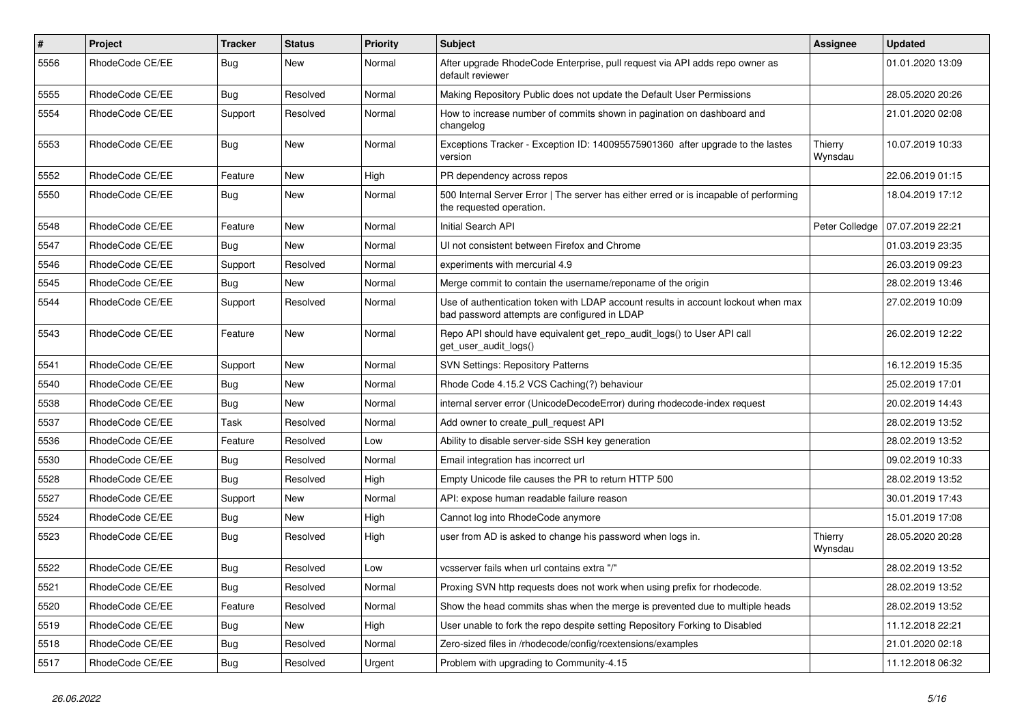| $\#$ | Project         | Tracker    | <b>Status</b> | <b>Priority</b> | Subject                                                                                                                           | <b>Assignee</b>    | <b>Updated</b>   |
|------|-----------------|------------|---------------|-----------------|-----------------------------------------------------------------------------------------------------------------------------------|--------------------|------------------|
| 5556 | RhodeCode CE/EE | <b>Bug</b> | New           | Normal          | After upgrade RhodeCode Enterprise, pull request via API adds repo owner as<br>default reviewer                                   |                    | 01.01.2020 13:09 |
| 5555 | RhodeCode CE/EE | Bug        | Resolved      | Normal          | Making Repository Public does not update the Default User Permissions                                                             |                    | 28.05.2020 20:26 |
| 5554 | RhodeCode CE/EE | Support    | Resolved      | Normal          | How to increase number of commits shown in pagination on dashboard and<br>changelog                                               |                    | 21.01.2020 02:08 |
| 5553 | RhodeCode CE/EE | Bug        | <b>New</b>    | Normal          | Exceptions Tracker - Exception ID: 140095575901360 after upgrade to the lastes<br>version                                         | Thierry<br>Wynsdau | 10.07.2019 10:33 |
| 5552 | RhodeCode CE/EE | Feature    | <b>New</b>    | High            | PR dependency across repos                                                                                                        |                    | 22.06.2019 01:15 |
| 5550 | RhodeCode CE/EE | <b>Bug</b> | New           | Normal          | 500 Internal Server Error   The server has either erred or is incapable of performing<br>the requested operation.                 |                    | 18.04.2019 17:12 |
| 5548 | RhodeCode CE/EE | Feature    | New           | Normal          | Initial Search API                                                                                                                | Peter Colledge     | 07.07.2019 22:21 |
| 5547 | RhodeCode CE/EE | <b>Bug</b> | New           | Normal          | UI not consistent between Firefox and Chrome                                                                                      |                    | 01.03.2019 23:35 |
| 5546 | RhodeCode CE/EE | Support    | Resolved      | Normal          | experiments with mercurial 4.9                                                                                                    |                    | 26.03.2019 09:23 |
| 5545 | RhodeCode CE/EE | Bug        | <b>New</b>    | Normal          | Merge commit to contain the username/reponame of the origin                                                                       |                    | 28.02.2019 13:46 |
| 5544 | RhodeCode CE/EE | Support    | Resolved      | Normal          | Use of authentication token with LDAP account results in account lockout when max<br>bad password attempts are configured in LDAP |                    | 27.02.2019 10:09 |
| 5543 | RhodeCode CE/EE | Feature    | New           | Normal          | Repo API should have equivalent get_repo_audit_logs() to User API call<br>get_user_audit_logs()                                   |                    | 26.02.2019 12:22 |
| 5541 | RhodeCode CE/EE | Support    | New           | Normal          | <b>SVN Settings: Repository Patterns</b>                                                                                          |                    | 16.12.2019 15:35 |
| 5540 | RhodeCode CE/EE | <b>Bug</b> | New           | Normal          | Rhode Code 4.15.2 VCS Caching(?) behaviour                                                                                        |                    | 25.02.2019 17:01 |
| 5538 | RhodeCode CE/EE | <b>Bug</b> | New           | Normal          | internal server error (UnicodeDecodeError) during rhodecode-index request                                                         |                    | 20.02.2019 14:43 |
| 5537 | RhodeCode CE/EE | Task       | Resolved      | Normal          | Add owner to create_pull_request API                                                                                              |                    | 28.02.2019 13:52 |
| 5536 | RhodeCode CE/EE | Feature    | Resolved      | Low             | Ability to disable server-side SSH key generation                                                                                 |                    | 28.02.2019 13:52 |
| 5530 | RhodeCode CE/EE | <b>Bug</b> | Resolved      | Normal          | Email integration has incorrect url                                                                                               |                    | 09.02.2019 10:33 |
| 5528 | RhodeCode CE/EE | Bug        | Resolved      | High            | Empty Unicode file causes the PR to return HTTP 500                                                                               |                    | 28.02.2019 13:52 |
| 5527 | RhodeCode CE/EE | Support    | New           | Normal          | API: expose human readable failure reason                                                                                         |                    | 30.01.2019 17:43 |
| 5524 | RhodeCode CE/EE | Bug        | New           | High            | Cannot log into RhodeCode anymore                                                                                                 |                    | 15.01.2019 17:08 |
| 5523 | RhodeCode CE/EE | <b>Bug</b> | Resolved      | High            | user from AD is asked to change his password when logs in.                                                                        | Thierry<br>Wynsdau | 28.05.2020 20:28 |
| 5522 | RhodeCode CE/EE | <b>Bug</b> | Resolved      | Low             | vcsserver fails when url contains extra "/"                                                                                       |                    | 28.02.2019 13:52 |
| 5521 | RhodeCode CE/EE | Bug        | Resolved      | Normal          | Proxing SVN http requests does not work when using prefix for rhodecode.                                                          |                    | 28.02.2019 13:52 |
| 5520 | RhodeCode CE/EE | Feature    | Resolved      | Normal          | Show the head commits shas when the merge is prevented due to multiple heads                                                      |                    | 28.02.2019 13:52 |
| 5519 | RhodeCode CE/EE | Bug        | New           | High            | User unable to fork the repo despite setting Repository Forking to Disabled                                                       |                    | 11.12.2018 22:21 |
| 5518 | RhodeCode CE/EE | <b>Bug</b> | Resolved      | Normal          | Zero-sized files in /rhodecode/config/rcextensions/examples                                                                       |                    | 21.01.2020 02:18 |
| 5517 | RhodeCode CE/EE | <b>Bug</b> | Resolved      | Urgent          | Problem with upgrading to Community-4.15                                                                                          |                    | 11.12.2018 06:32 |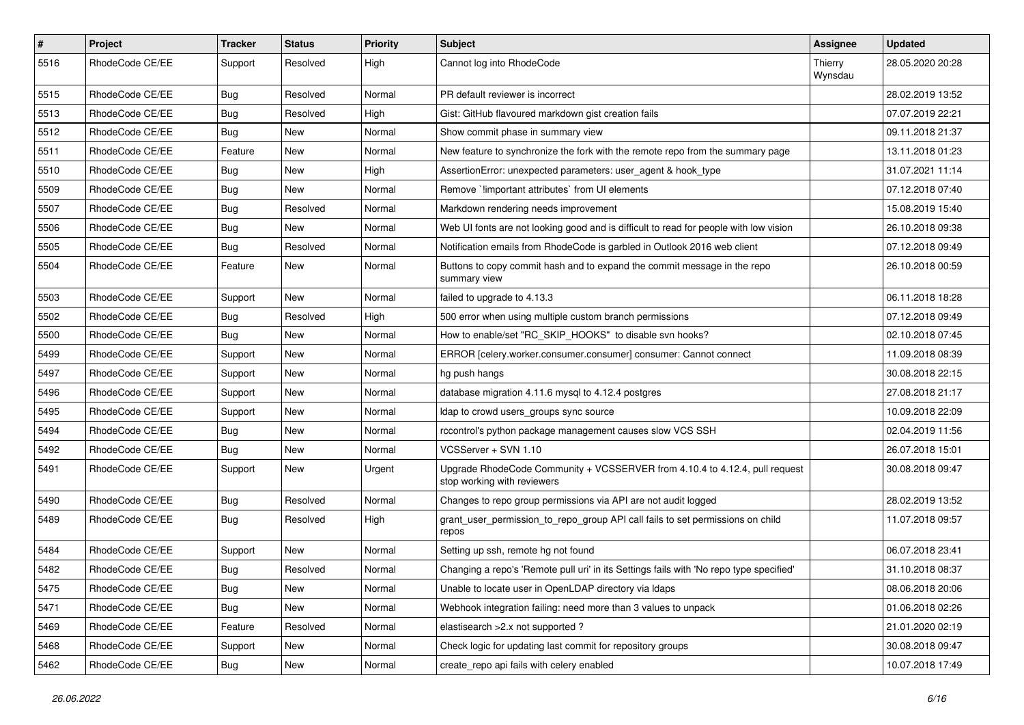| #    | Project         | <b>Tracker</b> | <b>Status</b> | <b>Priority</b> | <b>Subject</b>                                                                                             | <b>Assignee</b>    | <b>Updated</b>   |
|------|-----------------|----------------|---------------|-----------------|------------------------------------------------------------------------------------------------------------|--------------------|------------------|
| 5516 | RhodeCode CE/EE | Support        | Resolved      | High            | Cannot log into RhodeCode                                                                                  | Thierry<br>Wynsdau | 28.05.2020 20:28 |
| 5515 | RhodeCode CE/EE | Bug            | Resolved      | Normal          | PR default reviewer is incorrect                                                                           |                    | 28.02.2019 13:52 |
| 5513 | RhodeCode CE/EE | Bug            | Resolved      | High            | Gist: GitHub flavoured markdown gist creation fails                                                        |                    | 07.07.2019 22:21 |
| 5512 | RhodeCode CE/EE | Bug            | <b>New</b>    | Normal          | Show commit phase in summary view                                                                          |                    | 09.11.2018 21:37 |
| 5511 | RhodeCode CE/EE | Feature        | New           | Normal          | New feature to synchronize the fork with the remote repo from the summary page                             |                    | 13.11.2018 01:23 |
| 5510 | RhodeCode CE/EE | Bug            | <b>New</b>    | High            | AssertionError: unexpected parameters: user_agent & hook_type                                              |                    | 31.07.2021 11:14 |
| 5509 | RhodeCode CE/EE | Bug            | New           | Normal          | Remove `limportant attributes` from UI elements                                                            |                    | 07.12.2018 07:40 |
| 5507 | RhodeCode CE/EE | Bug            | Resolved      | Normal          | Markdown rendering needs improvement                                                                       |                    | 15.08.2019 15:40 |
| 5506 | RhodeCode CE/EE | <b>Bug</b>     | <b>New</b>    | Normal          | Web UI fonts are not looking good and is difficult to read for people with low vision                      |                    | 26.10.2018 09:38 |
| 5505 | RhodeCode CE/EE | Bug            | Resolved      | Normal          | Notification emails from RhodeCode is garbled in Outlook 2016 web client                                   |                    | 07.12.2018 09:49 |
| 5504 | RhodeCode CE/EE | Feature        | New           | Normal          | Buttons to copy commit hash and to expand the commit message in the repo<br>summary view                   |                    | 26.10.2018 00:59 |
| 5503 | RhodeCode CE/EE | Support        | <b>New</b>    | Normal          | failed to upgrade to 4.13.3                                                                                |                    | 06.11.2018 18:28 |
| 5502 | RhodeCode CE/EE | <b>Bug</b>     | Resolved      | High            | 500 error when using multiple custom branch permissions                                                    |                    | 07.12.2018 09:49 |
| 5500 | RhodeCode CE/EE | Bug            | New           | Normal          | How to enable/set "RC_SKIP_HOOKS" to disable svn hooks?                                                    |                    | 02.10.2018 07:45 |
| 5499 | RhodeCode CE/EE | Support        | New           | Normal          | ERROR [celery.worker.consumer.consumer] consumer: Cannot connect                                           |                    | 11.09.2018 08:39 |
| 5497 | RhodeCode CE/EE | Support        | <b>New</b>    | Normal          | hg push hangs                                                                                              |                    | 30.08.2018 22:15 |
| 5496 | RhodeCode CE/EE | Support        | New           | Normal          | database migration 4.11.6 mysql to 4.12.4 postgres                                                         |                    | 27.08.2018 21:17 |
| 5495 | RhodeCode CE/EE | Support        | New           | Normal          | Idap to crowd users_groups sync source                                                                     |                    | 10.09.2018 22:09 |
| 5494 | RhodeCode CE/EE | Bug            | New           | Normal          | rccontrol's python package management causes slow VCS SSH                                                  |                    | 02.04.2019 11:56 |
| 5492 | RhodeCode CE/EE | Bug            | <b>New</b>    | Normal          | VCSServer + SVN 1.10                                                                                       |                    | 26.07.2018 15:01 |
| 5491 | RhodeCode CE/EE | Support        | <b>New</b>    | Urgent          | Upgrade RhodeCode Community + VCSSERVER from 4.10.4 to 4.12.4, pull request<br>stop working with reviewers |                    | 30.08.2018 09:47 |
| 5490 | RhodeCode CE/EE | Bug            | Resolved      | Normal          | Changes to repo group permissions via API are not audit logged                                             |                    | 28.02.2019 13:52 |
| 5489 | RhodeCode CE/EE | Bug            | Resolved      | High            | grant_user_permission_to_repo_group API call fails to set permissions on child<br>repos                    |                    | 11.07.2018 09:57 |
| 5484 | RhodeCode CE/EE | Support        | <b>New</b>    | Normal          | Setting up ssh, remote hg not found                                                                        |                    | 06.07.2018 23:41 |
| 5482 | RhodeCode CE/EE | Bug            | Resolved      | Normal          | Changing a repo's 'Remote pull uri' in its Settings fails with 'No repo type specified'                    |                    | 31.10.2018 08:37 |
| 5475 | RhodeCode CE/EE | <b>Bug</b>     | New           | Normal          | Unable to locate user in OpenLDAP directory via Idaps                                                      |                    | 08.06.2018 20:06 |
| 5471 | RhodeCode CE/EE | Bug            | New           | Normal          | Webhook integration failing: need more than 3 values to unpack                                             |                    | 01.06.2018 02:26 |
| 5469 | RhodeCode CE/EE | Feature        | Resolved      | Normal          | elastisearch > 2.x not supported ?                                                                         |                    | 21.01.2020 02:19 |
| 5468 | RhodeCode CE/EE | Support        | New           | Normal          | Check logic for updating last commit for repository groups                                                 |                    | 30.08.2018 09:47 |
| 5462 | RhodeCode CE/EE | <b>Bug</b>     | New           | Normal          | create_repo api fails with celery enabled                                                                  |                    | 10.07.2018 17:49 |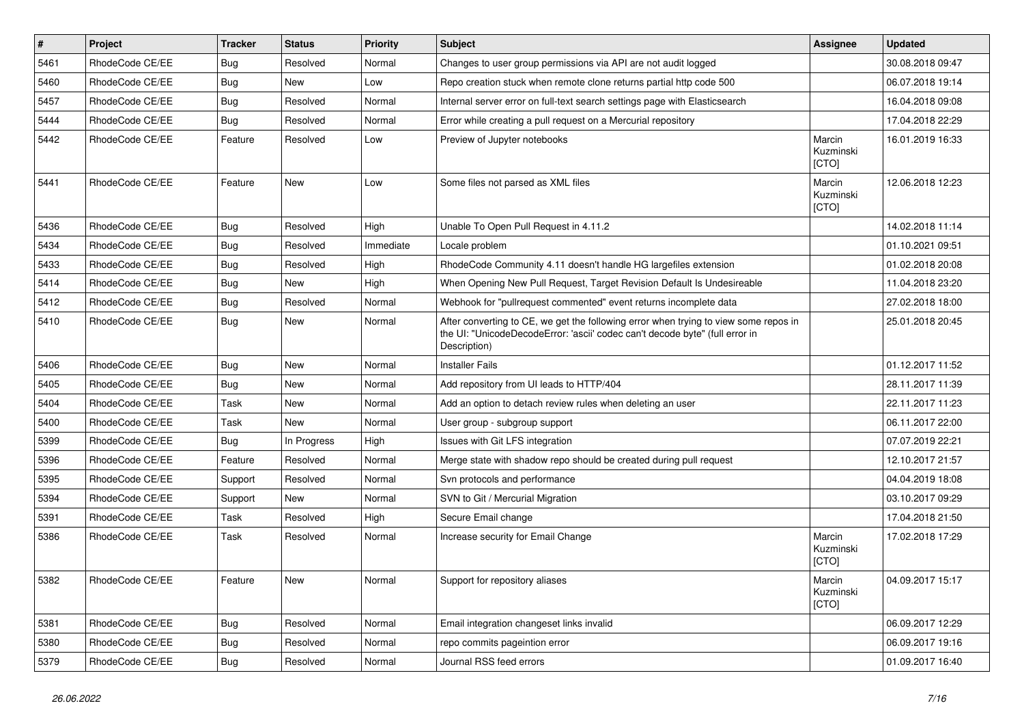| $\vert$ # | Project         | <b>Tracker</b> | <b>Status</b> | <b>Priority</b> | <b>Subject</b>                                                                                                                                                                       | Assignee                     | <b>Updated</b>   |
|-----------|-----------------|----------------|---------------|-----------------|--------------------------------------------------------------------------------------------------------------------------------------------------------------------------------------|------------------------------|------------------|
| 5461      | RhodeCode CE/EE | Bug            | Resolved      | Normal          | Changes to user group permissions via API are not audit logged                                                                                                                       |                              | 30.08.2018 09:47 |
| 5460      | RhodeCode CE/EE | Bug            | <b>New</b>    | Low             | Repo creation stuck when remote clone returns partial http code 500                                                                                                                  |                              | 06.07.2018 19:14 |
| 5457      | RhodeCode CE/EE | Bug            | Resolved      | Normal          | Internal server error on full-text search settings page with Elasticsearch                                                                                                           |                              | 16.04.2018 09:08 |
| 5444      | RhodeCode CE/EE | Bug            | Resolved      | Normal          | Error while creating a pull request on a Mercurial repository                                                                                                                        |                              | 17.04.2018 22:29 |
| 5442      | RhodeCode CE/EE | Feature        | Resolved      | Low             | Preview of Jupyter notebooks                                                                                                                                                         | Marcin<br>Kuzminski<br>[CTO] | 16.01.2019 16:33 |
| 5441      | RhodeCode CE/EE | Feature        | <b>New</b>    | Low             | Some files not parsed as XML files                                                                                                                                                   | Marcin<br>Kuzminski<br>[CTO] | 12.06.2018 12:23 |
| 5436      | RhodeCode CE/EE | Bug            | Resolved      | High            | Unable To Open Pull Request in 4.11.2                                                                                                                                                |                              | 14.02.2018 11:14 |
| 5434      | RhodeCode CE/EE | <b>Bug</b>     | Resolved      | Immediate       | Locale problem                                                                                                                                                                       |                              | 01.10.2021 09:51 |
| 5433      | RhodeCode CE/EE | <b>Bug</b>     | Resolved      | High            | RhodeCode Community 4.11 doesn't handle HG largefiles extension                                                                                                                      |                              | 01.02.2018 20:08 |
| 5414      | RhodeCode CE/EE | Bug            | <b>New</b>    | High            | When Opening New Pull Request, Target Revision Default Is Undesireable                                                                                                               |                              | 11.04.2018 23:20 |
| 5412      | RhodeCode CE/EE | Bug            | Resolved      | Normal          | Webhook for "pullrequest commented" event returns incomplete data                                                                                                                    |                              | 27.02.2018 18:00 |
| 5410      | RhodeCode CE/EE | Bug            | <b>New</b>    | Normal          | After converting to CE, we get the following error when trying to view some repos in<br>the UI: "UnicodeDecodeError: 'ascii' codec can't decode byte" (full error in<br>Description) |                              | 25.01.2018 20:45 |
| 5406      | RhodeCode CE/EE | Bug            | <b>New</b>    | Normal          | <b>Installer Fails</b>                                                                                                                                                               |                              | 01.12.2017 11:52 |
| 5405      | RhodeCode CE/EE | Bug            | <b>New</b>    | Normal          | Add repository from UI leads to HTTP/404                                                                                                                                             |                              | 28.11.2017 11:39 |
| 5404      | RhodeCode CE/EE | Task           | <b>New</b>    | Normal          | Add an option to detach review rules when deleting an user                                                                                                                           |                              | 22.11.2017 11:23 |
| 5400      | RhodeCode CE/EE | Task           | <b>New</b>    | Normal          | User group - subgroup support                                                                                                                                                        |                              | 06.11.2017 22:00 |
| 5399      | RhodeCode CE/EE | Bug            | In Progress   | High            | Issues with Git LFS integration                                                                                                                                                      |                              | 07.07.2019 22:21 |
| 5396      | RhodeCode CE/EE | Feature        | Resolved      | Normal          | Merge state with shadow repo should be created during pull request                                                                                                                   |                              | 12.10.2017 21:57 |
| 5395      | RhodeCode CE/EE | Support        | Resolved      | Normal          | Svn protocols and performance                                                                                                                                                        |                              | 04.04.2019 18:08 |
| 5394      | RhodeCode CE/EE | Support        | <b>New</b>    | Normal          | SVN to Git / Mercurial Migration                                                                                                                                                     |                              | 03.10.2017 09:29 |
| 5391      | RhodeCode CE/EE | Task           | Resolved      | High            | Secure Email change                                                                                                                                                                  |                              | 17.04.2018 21:50 |
| 5386      | RhodeCode CE/EE | Task           | Resolved      | Normal          | Increase security for Email Change                                                                                                                                                   | Marcin<br>Kuzminski<br>[CTO] | 17.02.2018 17:29 |
| 5382      | RhodeCode CE/EE | Feature        | New           | Normal          | Support for repository aliases                                                                                                                                                       | Marcin<br>Kuzminski<br>[CTO] | 04.09.2017 15:17 |
| 5381      | RhodeCode CE/EE | <b>Bug</b>     | Resolved      | Normal          | Email integration changeset links invalid                                                                                                                                            |                              | 06.09.2017 12:29 |
| 5380      | RhodeCode CE/EE | <b>Bug</b>     | Resolved      | Normal          | repo commits pageintion error                                                                                                                                                        |                              | 06.09.2017 19:16 |
| 5379      | RhodeCode CE/EE | <b>Bug</b>     | Resolved      | Normal          | Journal RSS feed errors                                                                                                                                                              |                              | 01.09.2017 16:40 |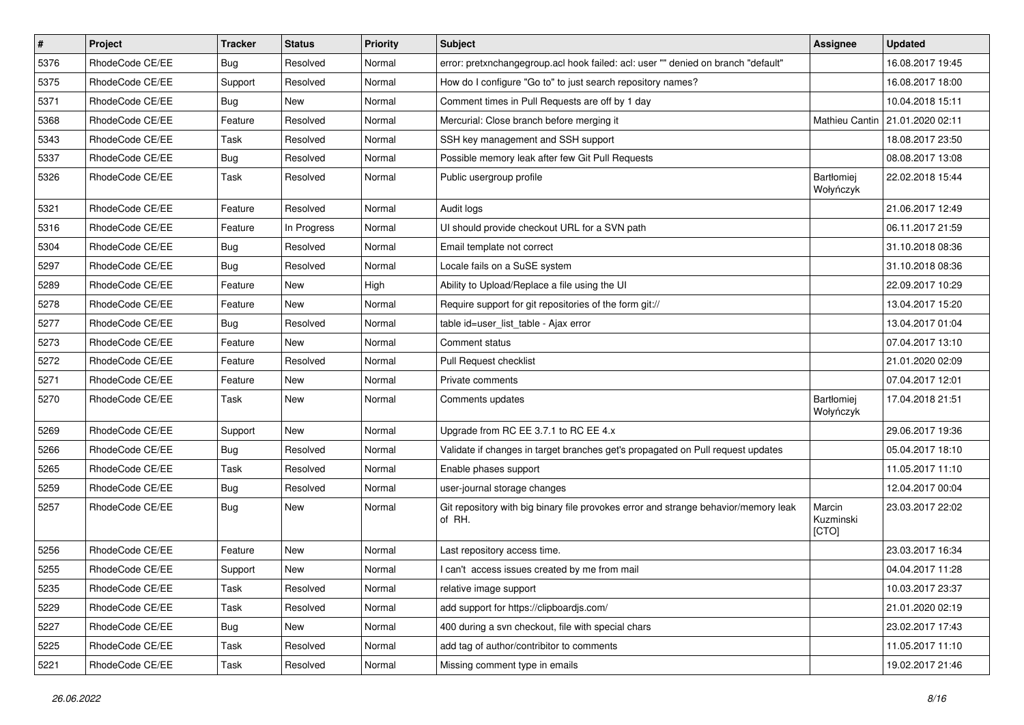| $\overline{\boldsymbol{H}}$ | Project         | <b>Tracker</b> | <b>Status</b> | <b>Priority</b> | <b>Subject</b>                                                                                | <b>Assignee</b>              | <b>Updated</b>                    |
|-----------------------------|-----------------|----------------|---------------|-----------------|-----------------------------------------------------------------------------------------------|------------------------------|-----------------------------------|
| 5376                        | RhodeCode CE/EE | Bug            | Resolved      | Normal          | error: pretxnchangegroup.acl hook failed: acl: user "" denied on branch "default"             |                              | 16.08.2017 19:45                  |
| 5375                        | RhodeCode CE/EE | Support        | Resolved      | Normal          | How do I configure "Go to" to just search repository names?                                   |                              | 16.08.2017 18:00                  |
| 5371                        | RhodeCode CE/EE | Bug            | New           | Normal          | Comment times in Pull Requests are off by 1 day                                               |                              | 10.04.2018 15:11                  |
| 5368                        | RhodeCode CE/EE | Feature        | Resolved      | Normal          | Mercurial: Close branch before merging it                                                     |                              | Mathieu Cantin   21.01.2020 02:11 |
| 5343                        | RhodeCode CE/EE | Task           | Resolved      | Normal          | SSH key management and SSH support                                                            |                              | 18.08.2017 23:50                  |
| 5337                        | RhodeCode CE/EE | Bug            | Resolved      | Normal          | Possible memory leak after few Git Pull Requests                                              |                              | 08.08.2017 13:08                  |
| 5326                        | RhodeCode CE/EE | Task           | Resolved      | Normal          | Public usergroup profile                                                                      | Bartłomiej<br>Wołyńczyk      | 22.02.2018 15:44                  |
| 5321                        | RhodeCode CE/EE | Feature        | Resolved      | Normal          | Audit logs                                                                                    |                              | 21.06.2017 12:49                  |
| 5316                        | RhodeCode CE/EE | Feature        | In Progress   | Normal          | UI should provide checkout URL for a SVN path                                                 |                              | 06.11.2017 21:59                  |
| 5304                        | RhodeCode CE/EE | Bug            | Resolved      | Normal          | Email template not correct                                                                    |                              | 31.10.2018 08:36                  |
| 5297                        | RhodeCode CE/EE | Bug            | Resolved      | Normal          | Locale fails on a SuSE system                                                                 |                              | 31.10.2018 08:36                  |
| 5289                        | RhodeCode CE/EE | Feature        | <b>New</b>    | High            | Ability to Upload/Replace a file using the UI                                                 |                              | 22.09.2017 10:29                  |
| 5278                        | RhodeCode CE/EE | Feature        | New           | Normal          | Require support for git repositories of the form git://                                       |                              | 13.04.2017 15:20                  |
| 5277                        | RhodeCode CE/EE | Bug            | Resolved      | Normal          | table id=user_list_table - Ajax error                                                         |                              | 13.04.2017 01:04                  |
| 5273                        | RhodeCode CE/EE | Feature        | <b>New</b>    | Normal          | Comment status                                                                                |                              | 07.04.2017 13:10                  |
| 5272                        | RhodeCode CE/EE | Feature        | Resolved      | Normal          | Pull Request checklist                                                                        |                              | 21.01.2020 02:09                  |
| 5271                        | RhodeCode CE/EE | Feature        | New           | Normal          | Private comments                                                                              |                              | 07.04.2017 12:01                  |
| 5270                        | RhodeCode CE/EE | Task           | New           | Normal          | Comments updates                                                                              | Bartłomiej<br>Wołyńczyk      | 17.04.2018 21:51                  |
| 5269                        | RhodeCode CE/EE | Support        | <b>New</b>    | Normal          | Upgrade from RC EE 3.7.1 to RC EE 4.x                                                         |                              | 29.06.2017 19:36                  |
| 5266                        | RhodeCode CE/EE | Bug            | Resolved      | Normal          | Validate if changes in target branches get's propagated on Pull request updates               |                              | 05.04.2017 18:10                  |
| 5265                        | RhodeCode CE/EE | Task           | Resolved      | Normal          | Enable phases support                                                                         |                              | 11.05.2017 11:10                  |
| 5259                        | RhodeCode CE/EE | Bug            | Resolved      | Normal          | user-journal storage changes                                                                  |                              | 12.04.2017 00:04                  |
| 5257                        | RhodeCode CE/EE | Bug            | New           | Normal          | Git repository with big binary file provokes error and strange behavior/memory leak<br>of RH. | Marcin<br>Kuzminski<br>[CTO] | 23.03.2017 22:02                  |
| 5256                        | RhodeCode CE/EE | Feature        | <b>New</b>    | Normal          | Last repository access time.                                                                  |                              | 23.03.2017 16:34                  |
| 5255                        | RhodeCode CE/EE | Support        | New           | Normal          | I can't access issues created by me from mail                                                 |                              | 04.04.2017 11:28                  |
| 5235                        | RhodeCode CE/EE | Task           | Resolved      | Normal          | relative image support                                                                        |                              | 10.03.2017 23:37                  |
| 5229                        | RhodeCode CE/EE | Task           | Resolved      | Normal          | add support for https://clipboardjs.com/                                                      |                              | 21.01.2020 02:19                  |
| 5227                        | RhodeCode CE/EE | <b>Bug</b>     | New           | Normal          | 400 during a svn checkout, file with special chars                                            |                              | 23.02.2017 17:43                  |
| 5225                        | RhodeCode CE/EE | Task           | Resolved      | Normal          | add tag of author/contribitor to comments                                                     |                              | 11.05.2017 11:10                  |
| 5221                        | RhodeCode CE/EE | Task           | Resolved      | Normal          | Missing comment type in emails                                                                |                              | 19.02.2017 21:46                  |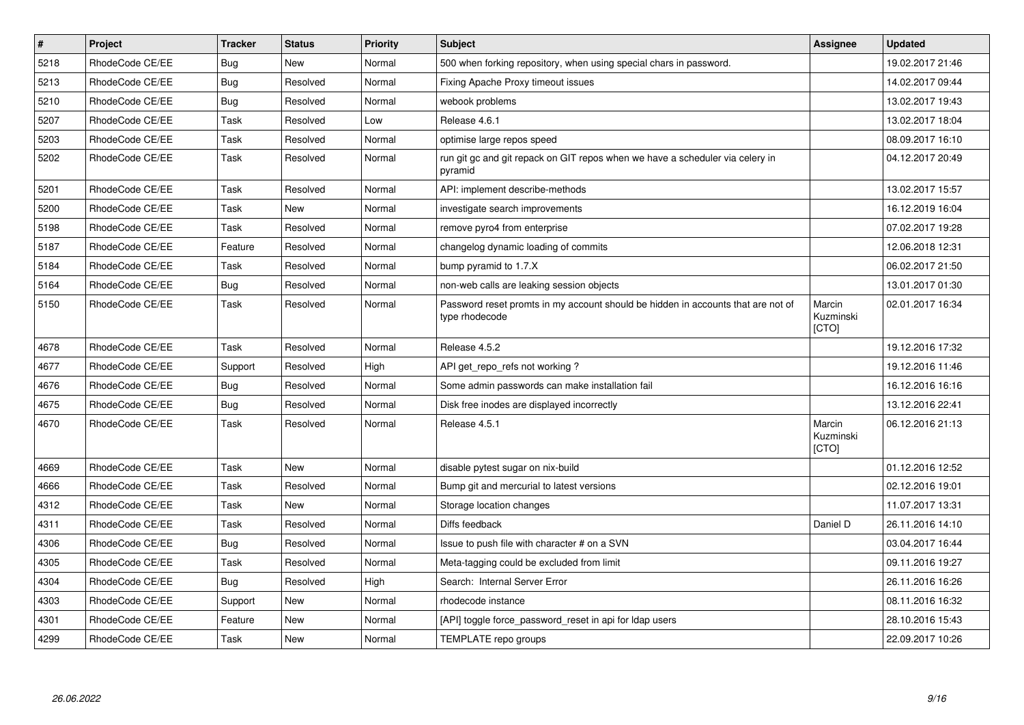| $\vert$ # | Project         | <b>Tracker</b> | <b>Status</b> | <b>Priority</b> | <b>Subject</b>                                                                                     | Assignee                     | <b>Updated</b>   |
|-----------|-----------------|----------------|---------------|-----------------|----------------------------------------------------------------------------------------------------|------------------------------|------------------|
| 5218      | RhodeCode CE/EE | <b>Bug</b>     | <b>New</b>    | Normal          | 500 when forking repository, when using special chars in password.                                 |                              | 19.02.2017 21:46 |
| 5213      | RhodeCode CE/EE | <b>Bug</b>     | Resolved      | Normal          | Fixing Apache Proxy timeout issues                                                                 |                              | 14.02.2017 09:44 |
| 5210      | RhodeCode CE/EE | Bug            | Resolved      | Normal          | webook problems                                                                                    |                              | 13.02.2017 19:43 |
| 5207      | RhodeCode CE/EE | Task           | Resolved      | Low             | Release 4.6.1                                                                                      |                              | 13.02.2017 18:04 |
| 5203      | RhodeCode CE/EE | Task           | Resolved      | Normal          | optimise large repos speed                                                                         |                              | 08.09.2017 16:10 |
| 5202      | RhodeCode CE/EE | Task           | Resolved      | Normal          | run git gc and git repack on GIT repos when we have a scheduler via celery in<br>pyramid           |                              | 04.12.2017 20:49 |
| 5201      | RhodeCode CE/EE | Task           | Resolved      | Normal          | API: implement describe-methods                                                                    |                              | 13.02.2017 15:57 |
| 5200      | RhodeCode CE/EE | Task           | <b>New</b>    | Normal          | investigate search improvements                                                                    |                              | 16.12.2019 16:04 |
| 5198      | RhodeCode CE/EE | Task           | Resolved      | Normal          | remove pyro4 from enterprise                                                                       |                              | 07.02.2017 19:28 |
| 5187      | RhodeCode CE/EE | Feature        | Resolved      | Normal          | changelog dynamic loading of commits                                                               |                              | 12.06.2018 12:31 |
| 5184      | RhodeCode CE/EE | Task           | Resolved      | Normal          | bump pyramid to 1.7.X                                                                              |                              | 06.02.2017 21:50 |
| 5164      | RhodeCode CE/EE | Bug            | Resolved      | Normal          | non-web calls are leaking session objects                                                          |                              | 13.01.2017 01:30 |
| 5150      | RhodeCode CE/EE | Task           | Resolved      | Normal          | Password reset promts in my account should be hidden in accounts that are not of<br>type rhodecode | Marcin<br>Kuzminski<br>[CTO] | 02.01.2017 16:34 |
| 4678      | RhodeCode CE/EE | Task           | Resolved      | Normal          | Release 4.5.2                                                                                      |                              | 19.12.2016 17:32 |
| 4677      | RhodeCode CE/EE | Support        | Resolved      | High            | API get repo refs not working?                                                                     |                              | 19.12.2016 11:46 |
| 4676      | RhodeCode CE/EE | <b>Bug</b>     | Resolved      | Normal          | Some admin passwords can make installation fail                                                    |                              | 16.12.2016 16:16 |
| 4675      | RhodeCode CE/EE | Bug            | Resolved      | Normal          | Disk free inodes are displayed incorrectly                                                         |                              | 13.12.2016 22:41 |
| 4670      | RhodeCode CE/EE | Task           | Resolved      | Normal          | Release 4.5.1                                                                                      | Marcin<br>Kuzminski<br>[CTO] | 06.12.2016 21:13 |
| 4669      | RhodeCode CE/EE | Task           | New           | Normal          | disable pytest sugar on nix-build                                                                  |                              | 01.12.2016 12:52 |
| 4666      | RhodeCode CE/EE | Task           | Resolved      | Normal          | Bump git and mercurial to latest versions                                                          |                              | 02.12.2016 19:01 |
| 4312      | RhodeCode CE/EE | Task           | <b>New</b>    | Normal          | Storage location changes                                                                           |                              | 11.07.2017 13:31 |
| 4311      | RhodeCode CE/EE | Task           | Resolved      | Normal          | Diffs feedback                                                                                     | Daniel D                     | 26.11.2016 14:10 |
| 4306      | RhodeCode CE/EE | Bug            | Resolved      | Normal          | Issue to push file with character # on a SVN                                                       |                              | 03.04.2017 16:44 |
| 4305      | RhodeCode CE/EE | Task           | Resolved      | Normal          | Meta-tagging could be excluded from limit                                                          |                              | 09.11.2016 19:27 |
| 4304      | RhodeCode CE/EE | <b>Bug</b>     | Resolved      | High            | Search: Internal Server Error                                                                      |                              | 26.11.2016 16:26 |
| 4303      | RhodeCode CE/EE | Support        | New           | Normal          | rhodecode instance                                                                                 |                              | 08.11.2016 16:32 |
| 4301      | RhodeCode CE/EE | Feature        | New           | Normal          | [API] toggle force password reset in api for Idap users                                            |                              | 28.10.2016 15:43 |
| 4299      | RhodeCode CE/EE | Task           | <b>New</b>    | Normal          | TEMPLATE repo groups                                                                               |                              | 22.09.2017 10:26 |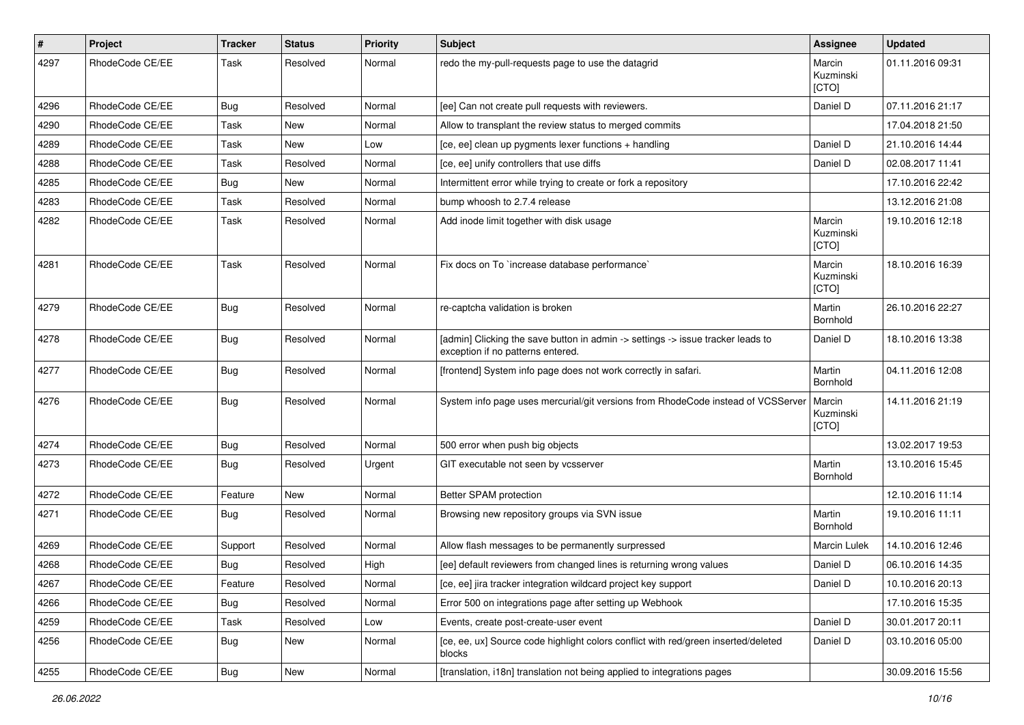| $\pmb{\#}$ | Project         | <b>Tracker</b> | <b>Status</b> | <b>Priority</b> | <b>Subject</b>                                                                                                       | <b>Assignee</b>              | <b>Updated</b>   |
|------------|-----------------|----------------|---------------|-----------------|----------------------------------------------------------------------------------------------------------------------|------------------------------|------------------|
| 4297       | RhodeCode CE/EE | Task           | Resolved      | Normal          | redo the my-pull-requests page to use the datagrid                                                                   | Marcin<br>Kuzminski<br>[CTO] | 01.11.2016 09:31 |
| 4296       | RhodeCode CE/EE | Bug            | Resolved      | Normal          | [ee] Can not create pull requests with reviewers.                                                                    | Daniel D                     | 07.11.2016 21:17 |
| 4290       | RhodeCode CE/EE | Task           | <b>New</b>    | Normal          | Allow to transplant the review status to merged commits                                                              |                              | 17.04.2018 21:50 |
| 4289       | RhodeCode CE/EE | Task           | <b>New</b>    | Low             | [ce, ee] clean up pygments lexer functions + handling                                                                | Daniel D                     | 21.10.2016 14:44 |
| 4288       | RhodeCode CE/EE | Task           | Resolved      | Normal          | [ce, ee] unify controllers that use diffs                                                                            | Daniel D                     | 02.08.2017 11:41 |
| 4285       | RhodeCode CE/EE | <b>Bug</b>     | New           | Normal          | Intermittent error while trying to create or fork a repository                                                       |                              | 17.10.2016 22:42 |
| 4283       | RhodeCode CE/EE | Task           | Resolved      | Normal          | bump whoosh to 2.7.4 release                                                                                         |                              | 13.12.2016 21:08 |
| 4282       | RhodeCode CE/EE | Task           | Resolved      | Normal          | Add inode limit together with disk usage                                                                             | Marcin<br>Kuzminski<br>[CTO] | 19.10.2016 12:18 |
| 4281       | RhodeCode CE/EE | Task           | Resolved      | Normal          | Fix docs on To `increase database performance`                                                                       | Marcin<br>Kuzminski<br>[CTO] | 18.10.2016 16:39 |
| 4279       | RhodeCode CE/EE | Bug            | Resolved      | Normal          | re-captcha validation is broken                                                                                      | Martin<br>Bornhold           | 26.10.2016 22:27 |
| 4278       | RhodeCode CE/EE | <b>Bug</b>     | Resolved      | Normal          | [admin] Clicking the save button in admin -> settings -> issue tracker leads to<br>exception if no patterns entered. | Daniel D                     | 18.10.2016 13:38 |
| 4277       | RhodeCode CE/EE | Bug            | Resolved      | Normal          | [frontend] System info page does not work correctly in safari.                                                       | Martin<br>Bornhold           | 04.11.2016 12:08 |
| 4276       | RhodeCode CE/EE | Bug            | Resolved      | Normal          | System info page uses mercurial/git versions from RhodeCode instead of VCSServer                                     | Marcin<br>Kuzminski<br>[CTO] | 14.11.2016 21:19 |
| 4274       | RhodeCode CE/EE | Bug            | Resolved      | Normal          | 500 error when push big objects                                                                                      |                              | 13.02.2017 19:53 |
| 4273       | RhodeCode CE/EE | Bug            | Resolved      | Urgent          | GIT executable not seen by vcsserver                                                                                 | Martin<br>Bornhold           | 13.10.2016 15:45 |
| 4272       | RhodeCode CE/EE | Feature        | <b>New</b>    | Normal          | Better SPAM protection                                                                                               |                              | 12.10.2016 11:14 |
| 4271       | RhodeCode CE/EE | <b>Bug</b>     | Resolved      | Normal          | Browsing new repository groups via SVN issue                                                                         | Martin<br>Bornhold           | 19.10.2016 11:11 |
| 4269       | RhodeCode CE/EE | Support        | Resolved      | Normal          | Allow flash messages to be permanently surpressed                                                                    | Marcin Lulek                 | 14.10.2016 12:46 |
| 4268       | RhodeCode CE/EE | Bug            | Resolved      | High            | [ee] default reviewers from changed lines is returning wrong values                                                  | Daniel D                     | 06.10.2016 14:35 |
| 4267       | RhodeCode CE/EE | Feature        | Resolved      | Normal          | [ce, ee] jira tracker integration wildcard project key support                                                       | Daniel D                     | 10.10.2016 20:13 |
| 4266       | RhodeCode CE/EE | <b>Bug</b>     | Resolved      | Normal          | Error 500 on integrations page after setting up Webhook                                                              |                              | 17.10.2016 15:35 |
| 4259       | RhodeCode CE/EE | Task           | Resolved      | Low             | Events, create post-create-user event                                                                                | Daniel D                     | 30.01.2017 20:11 |
| 4256       | RhodeCode CE/EE | <b>Bug</b>     | New           | Normal          | [ce, ee, ux] Source code highlight colors conflict with red/green inserted/deleted<br>blocks                         | Daniel D                     | 03.10.2016 05:00 |
| 4255       | RhodeCode CE/EE | <b>Bug</b>     | New           | Normal          | [translation, i18n] translation not being applied to integrations pages                                              |                              | 30.09.2016 15:56 |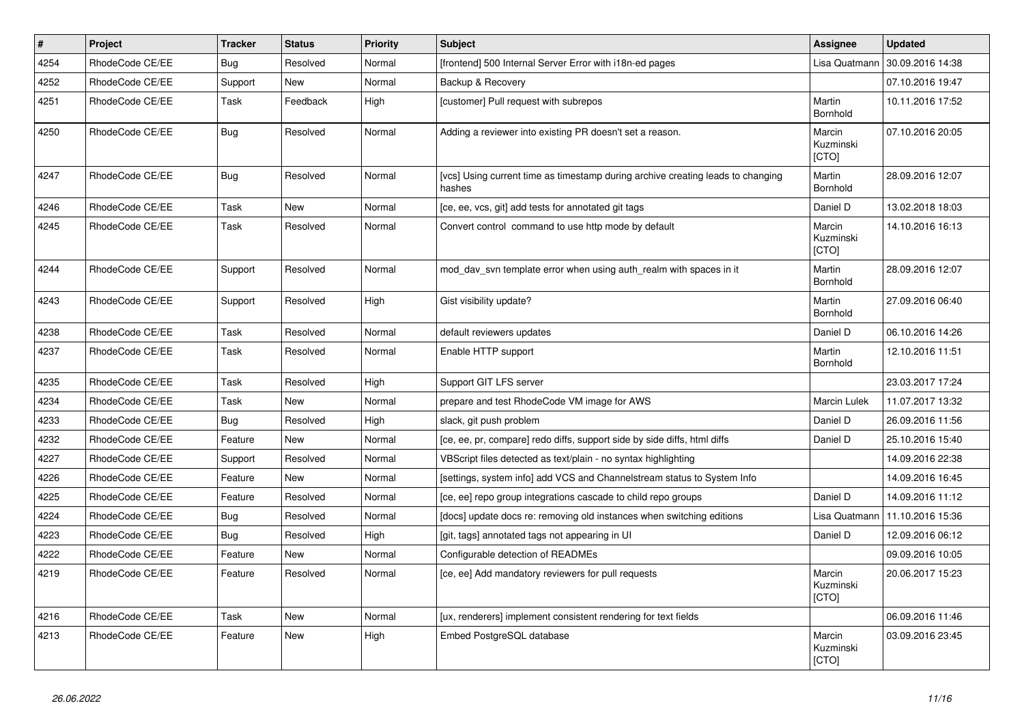| $\vert$ # | Project         | <b>Tracker</b> | <b>Status</b> | <b>Priority</b> | <b>Subject</b>                                                                            | <b>Assignee</b>              | <b>Updated</b>   |
|-----------|-----------------|----------------|---------------|-----------------|-------------------------------------------------------------------------------------------|------------------------------|------------------|
| 4254      | RhodeCode CE/EE | <b>Bug</b>     | Resolved      | Normal          | [frontend] 500 Internal Server Error with i18n-ed pages                                   | Lisa Quatmann                | 30.09.2016 14:38 |
| 4252      | RhodeCode CE/EE | Support        | <b>New</b>    | Normal          | Backup & Recovery                                                                         |                              | 07.10.2016 19:47 |
| 4251      | RhodeCode CE/EE | Task           | Feedback      | High            | [customer] Pull request with subrepos                                                     | Martin<br>Bornhold           | 10.11.2016 17:52 |
| 4250      | RhodeCode CE/EE | Bug            | Resolved      | Normal          | Adding a reviewer into existing PR doesn't set a reason.                                  | Marcin<br>Kuzminski<br>[CTO] | 07.10.2016 20:05 |
| 4247      | RhodeCode CE/EE | <b>Bug</b>     | Resolved      | Normal          | [vcs] Using current time as timestamp during archive creating leads to changing<br>hashes | Martin<br>Bornhold           | 28.09.2016 12:07 |
| 4246      | RhodeCode CE/EE | Task           | New           | Normal          | [ce, ee, vcs, git] add tests for annotated git tags                                       | Daniel D                     | 13.02.2018 18:03 |
| 4245      | RhodeCode CE/EE | Task           | Resolved      | Normal          | Convert control command to use http mode by default                                       | Marcin<br>Kuzminski<br>[CTO] | 14.10.2016 16:13 |
| 4244      | RhodeCode CE/EE | Support        | Resolved      | Normal          | mod day syn template error when using auth realm with spaces in it                        | Martin<br>Bornhold           | 28.09.2016 12:07 |
| 4243      | RhodeCode CE/EE | Support        | Resolved      | High            | Gist visibility update?                                                                   | Martin<br>Bornhold           | 27.09.2016 06:40 |
| 4238      | RhodeCode CE/EE | Task           | Resolved      | Normal          | default reviewers updates                                                                 | Daniel D                     | 06.10.2016 14:26 |
| 4237      | RhodeCode CE/EE | Task           | Resolved      | Normal          | Enable HTTP support                                                                       | Martin<br>Bornhold           | 12.10.2016 11:51 |
| 4235      | RhodeCode CE/EE | Task           | Resolved      | High            | Support GIT LFS server                                                                    |                              | 23.03.2017 17:24 |
| 4234      | RhodeCode CE/EE | Task           | <b>New</b>    | Normal          | prepare and test RhodeCode VM image for AWS                                               | <b>Marcin Lulek</b>          | 11.07.2017 13:32 |
| 4233      | RhodeCode CE/EE | Bug            | Resolved      | High            | slack, git push problem                                                                   | Daniel D                     | 26.09.2016 11:56 |
| 4232      | RhodeCode CE/EE | Feature        | <b>New</b>    | Normal          | [ce, ee, pr, compare] redo diffs, support side by side diffs, html diffs                  | Daniel D                     | 25.10.2016 15:40 |
| 4227      | RhodeCode CE/EE | Support        | Resolved      | Normal          | VBScript files detected as text/plain - no syntax highlighting                            |                              | 14.09.2016 22:38 |
| 4226      | RhodeCode CE/EE | Feature        | <b>New</b>    | Normal          | [settings, system info] add VCS and Channelstream status to System Info                   |                              | 14.09.2016 16:45 |
| 4225      | RhodeCode CE/EE | Feature        | Resolved      | Normal          | [ce, ee] repo group integrations cascade to child repo groups                             | Daniel D                     | 14.09.2016 11:12 |
| 4224      | RhodeCode CE/EE | Bug            | Resolved      | Normal          | [docs] update docs re: removing old instances when switching editions                     | Lisa Quatmann                | 11.10.2016 15:36 |
| 4223      | RhodeCode CE/EE | Bug            | Resolved      | High            | [git, tags] annotated tags not appearing in UI                                            | Daniel D                     | 12.09.2016 06:12 |
| 4222      | RhodeCode CE/EE | Feature        | <b>New</b>    | Normal          | Configurable detection of READMEs                                                         |                              | 09.09.2016 10:05 |
| 4219      | RhodeCode CE/EE | Feature        | Resolved      | Normal          | [ce, ee] Add mandatory reviewers for pull requests                                        | Marcin<br>Kuzminski<br>[CTO] | 20.06.2017 15:23 |
| 4216      | RhodeCode CE/EE | Task           | <b>New</b>    | Normal          | [ux, renderers] implement consistent rendering for text fields                            |                              | 06.09.2016 11:46 |
| 4213      | RhodeCode CE/EE | Feature        | <b>New</b>    | High            | Embed PostgreSQL database                                                                 | Marcin<br>Kuzminski<br>[CTO] | 03.09.2016 23:45 |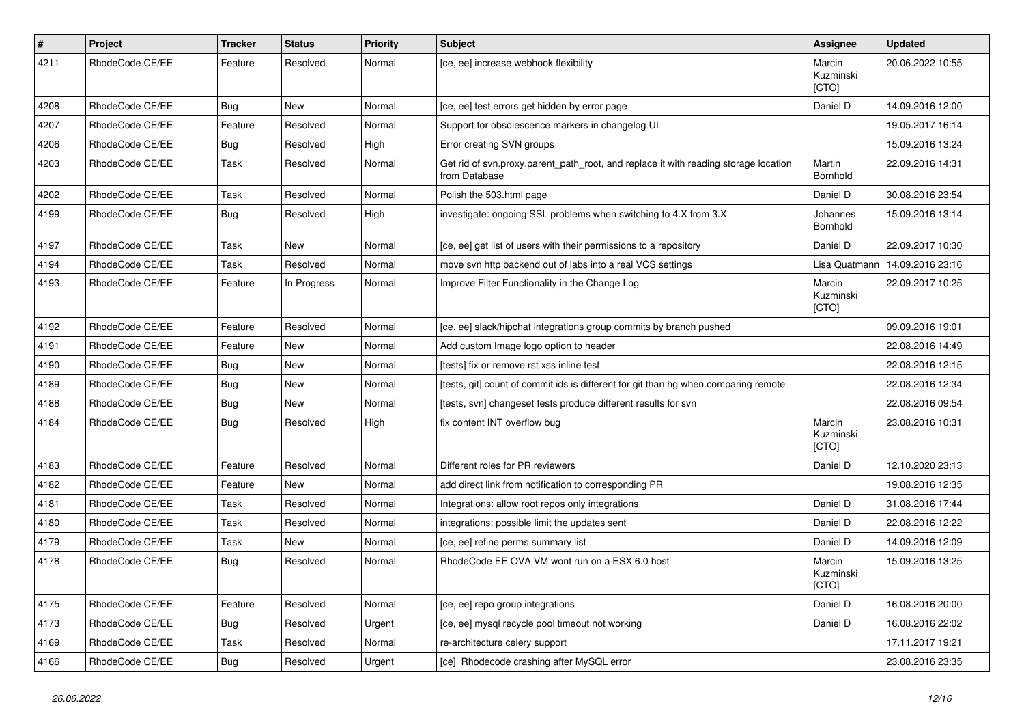| $\pmb{\#}$ | Project         | Tracker    | <b>Status</b> | <b>Priority</b> | <b>Subject</b>                                                                                       | Assignee                     | <b>Updated</b>   |
|------------|-----------------|------------|---------------|-----------------|------------------------------------------------------------------------------------------------------|------------------------------|------------------|
| 4211       | RhodeCode CE/EE | Feature    | Resolved      | Normal          | [ce, ee] increase webhook flexibility                                                                | Marcin<br>Kuzminski<br>[CTO] | 20.06.2022 10:55 |
| 4208       | RhodeCode CE/EE | Bug        | New           | Normal          | [ce, ee] test errors get hidden by error page                                                        | Daniel D                     | 14.09.2016 12:00 |
| 4207       | RhodeCode CE/EE | Feature    | Resolved      | Normal          | Support for obsolescence markers in changelog UI                                                     |                              | 19.05.2017 16:14 |
| 4206       | RhodeCode CE/EE | Bug        | Resolved      | High            | Error creating SVN groups                                                                            |                              | 15.09.2016 13:24 |
| 4203       | RhodeCode CE/EE | Task       | Resolved      | Normal          | Get rid of svn.proxy.parent_path_root, and replace it with reading storage location<br>from Database | Martin<br><b>Bornhold</b>    | 22.09.2016 14:31 |
| 4202       | RhodeCode CE/EE | Task       | Resolved      | Normal          | Polish the 503.html page                                                                             | Daniel D                     | 30.08.2016 23:54 |
| 4199       | RhodeCode CE/EE | Bug        | Resolved      | High            | investigate: ongoing SSL problems when switching to 4.X from 3.X                                     | Johannes<br>Bornhold         | 15.09.2016 13:14 |
| 4197       | RhodeCode CE/EE | Task       | New           | Normal          | [ce, ee] get list of users with their permissions to a repository                                    | Daniel D                     | 22.09.2017 10:30 |
| 4194       | RhodeCode CE/EE | Task       | Resolved      | Normal          | move svn http backend out of labs into a real VCS settings                                           | Lisa Quatmann                | 14.09.2016 23:16 |
| 4193       | RhodeCode CE/EE | Feature    | In Progress   | Normal          | Improve Filter Functionality in the Change Log                                                       | Marcin<br>Kuzminski<br>[CTO] | 22.09.2017 10:25 |
| 4192       | RhodeCode CE/EE | Feature    | Resolved      | Normal          | [ce, ee] slack/hipchat integrations group commits by branch pushed                                   |                              | 09.09.2016 19:01 |
| 4191       | RhodeCode CE/EE | Feature    | <b>New</b>    | Normal          | Add custom Image logo option to header                                                               |                              | 22.08.2016 14:49 |
| 4190       | RhodeCode CE/EE | <b>Bug</b> | New           | Normal          | [tests] fix or remove rst xss inline test                                                            |                              | 22.08.2016 12:15 |
| 4189       | RhodeCode CE/EE | Bug        | New           | Normal          | [tests, git] count of commit ids is different for git than hg when comparing remote                  |                              | 22.08.2016 12:34 |
| 4188       | RhodeCode CE/EE | <b>Bug</b> | New           | Normal          | [tests, svn] changeset tests produce different results for svn                                       |                              | 22.08.2016 09:54 |
| 4184       | RhodeCode CE/EE | <b>Bug</b> | Resolved      | High            | fix content INT overflow bug                                                                         | Marcin<br>Kuzminski<br>[CTO] | 23.08.2016 10:31 |
| 4183       | RhodeCode CE/EE | Feature    | Resolved      | Normal          | Different roles for PR reviewers                                                                     | Daniel D                     | 12.10.2020 23:13 |
| 4182       | RhodeCode CE/EE | Feature    | New           | Normal          | add direct link from notification to corresponding PR                                                |                              | 19.08.2016 12:35 |
| 4181       | RhodeCode CE/EE | Task       | Resolved      | Normal          | Integrations: allow root repos only integrations                                                     | Daniel D                     | 31.08.2016 17:44 |
| 4180       | RhodeCode CE/EE | Task       | Resolved      | Normal          | integrations: possible limit the updates sent                                                        | Daniel D                     | 22.08.2016 12:22 |
| 4179       | RhodeCode CE/EE | Task       | New           | Normal          | [ce, ee] refine perms summary list                                                                   | Daniel D                     | 14.09.2016 12:09 |
| 4178       | RhodeCode CE/EE | Bug        | Resolved      | Normal          | RhodeCode EE OVA VM wont run on a ESX 6.0 host                                                       | Marcin<br>Kuzminski<br>[CTO] | 15.09.2016 13:25 |
| 4175       | RhodeCode CE/EE | Feature    | Resolved      | Normal          | [ce, ee] repo group integrations                                                                     | Daniel D                     | 16.08.2016 20:00 |
| 4173       | RhodeCode CE/EE | Bug        | Resolved      | Urgent          | [ce, ee] mysql recycle pool timeout not working                                                      | Daniel D                     | 16.08.2016 22:02 |
| 4169       | RhodeCode CE/EE | Task       | Resolved      | Normal          | re-architecture celery support                                                                       |                              | 17.11.2017 19:21 |
| 4166       | RhodeCode CE/EE | Bug        | Resolved      | Urgent          | [ce] Rhodecode crashing after MySQL error                                                            |                              | 23.08.2016 23:35 |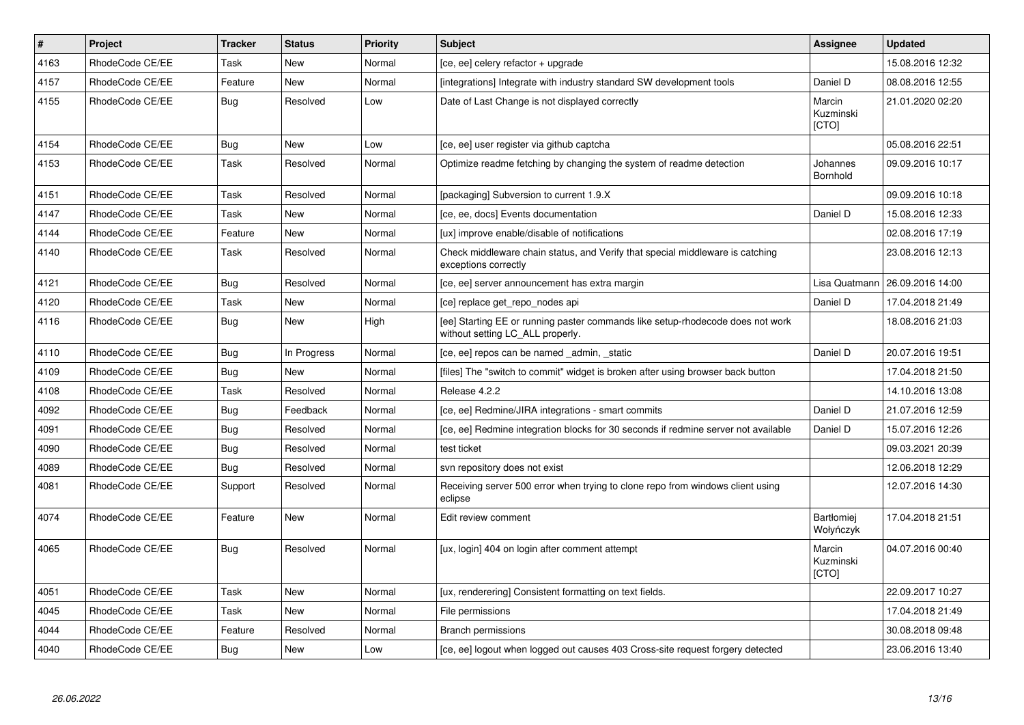| $\vert$ # | Project         | <b>Tracker</b> | <b>Status</b> | <b>Priority</b> | <b>Subject</b>                                                                                                     | Assignee                            | <b>Updated</b>   |
|-----------|-----------------|----------------|---------------|-----------------|--------------------------------------------------------------------------------------------------------------------|-------------------------------------|------------------|
| 4163      | RhodeCode CE/EE | Task           | <b>New</b>    | Normal          | [ce, ee] celery refactor + upgrade                                                                                 |                                     | 15.08.2016 12:32 |
| 4157      | RhodeCode CE/EE | Feature        | <b>New</b>    | Normal          | [integrations] Integrate with industry standard SW development tools                                               | Daniel D                            | 08.08.2016 12:55 |
| 4155      | RhodeCode CE/EE | Bug            | Resolved      | Low             | Date of Last Change is not displayed correctly                                                                     | Marcin<br>Kuzminski<br>[CTO]        | 21.01.2020 02:20 |
| 4154      | RhodeCode CE/EE | Bug            | <b>New</b>    | Low             | [ce, ee] user register via github captcha                                                                          |                                     | 05.08.2016 22:51 |
| 4153      | RhodeCode CE/EE | Task           | Resolved      | Normal          | Optimize readme fetching by changing the system of readme detection                                                | Johannes<br>Bornhold                | 09.09.2016 10:17 |
| 4151      | RhodeCode CE/EE | Task           | Resolved      | Normal          | [packaging] Subversion to current 1.9.X                                                                            |                                     | 09.09.2016 10:18 |
| 4147      | RhodeCode CE/EE | Task           | <b>New</b>    | Normal          | [ce, ee, docs] Events documentation                                                                                | Daniel D                            | 15.08.2016 12:33 |
| 4144      | RhodeCode CE/EE | Feature        | <b>New</b>    | Normal          | [ux] improve enable/disable of notifications                                                                       |                                     | 02.08.2016 17:19 |
| 4140      | RhodeCode CE/EE | Task           | Resolved      | Normal          | Check middleware chain status, and Verify that special middleware is catching<br>exceptions correctly              |                                     | 23.08.2016 12:13 |
| 4121      | RhodeCode CE/EE | <b>Bug</b>     | Resolved      | Normal          | [ce, ee] server announcement has extra margin                                                                      | Lisa Quatmann                       | 26.09.2016 14:00 |
| 4120      | RhodeCode CE/EE | Task           | New           | Normal          | [ce] replace get_repo_nodes api                                                                                    | Daniel D                            | 17.04.2018 21:49 |
| 4116      | RhodeCode CE/EE | Bug            | <b>New</b>    | High            | [ee] Starting EE or running paster commands like setup-rhodecode does not work<br>without setting LC_ALL properly. |                                     | 18.08.2016 21:03 |
| 4110      | RhodeCode CE/EE | Bug            | In Progress   | Normal          | [ce, ee] repos can be named admin, static                                                                          | Daniel D                            | 20.07.2016 19:51 |
| 4109      | RhodeCode CE/EE | Bug            | <b>New</b>    | Normal          | [files] The "switch to commit" widget is broken after using browser back button                                    |                                     | 17.04.2018 21:50 |
| 4108      | RhodeCode CE/EE | Task           | Resolved      | Normal          | Release 4.2.2                                                                                                      |                                     | 14.10.2016 13:08 |
| 4092      | RhodeCode CE/EE | Bug            | Feedback      | Normal          | [ce, ee] Redmine/JIRA integrations - smart commits                                                                 | Daniel D                            | 21.07.2016 12:59 |
| 4091      | RhodeCode CE/EE | Bug            | Resolved      | Normal          | [ce, ee] Redmine integration blocks for 30 seconds if redmine server not available                                 | Daniel D                            | 15.07.2016 12:26 |
| 4090      | RhodeCode CE/EE | <b>Bug</b>     | Resolved      | Normal          | test ticket                                                                                                        |                                     | 09.03.2021 20:39 |
| 4089      | RhodeCode CE/EE | Bug            | Resolved      | Normal          | svn repository does not exist                                                                                      |                                     | 12.06.2018 12:29 |
| 4081      | RhodeCode CE/EE | Support        | Resolved      | Normal          | Receiving server 500 error when trying to clone repo from windows client using<br>eclipse                          |                                     | 12.07.2016 14:30 |
| 4074      | RhodeCode CE/EE | Feature        | <b>New</b>    | Normal          | Edit review comment                                                                                                | Bartłomiej<br>Wołyńczyk             | 17.04.2018 21:51 |
| 4065      | RhodeCode CE/EE | Bug            | Resolved      | Normal          | [ux, login] 404 on login after comment attempt                                                                     | Marcin<br>Kuzminski<br><b>[CTO]</b> | 04.07.2016 00:40 |
| 4051      | RhodeCode CE/EE | Task           | New           | Normal          | [ux, renderering] Consistent formatting on text fields.                                                            |                                     | 22.09.2017 10:27 |
| 4045      | RhodeCode CE/EE | Task           | <b>New</b>    | Normal          | File permissions                                                                                                   |                                     | 17.04.2018 21:49 |
| 4044      | RhodeCode CE/EE | Feature        | Resolved      | Normal          | <b>Branch permissions</b>                                                                                          |                                     | 30.08.2018 09:48 |
| 4040      | RhodeCode CE/EE | Bug            | <b>New</b>    | Low             | [ce, ee] logout when logged out causes 403 Cross-site request forgery detected                                     |                                     | 23.06.2016 13:40 |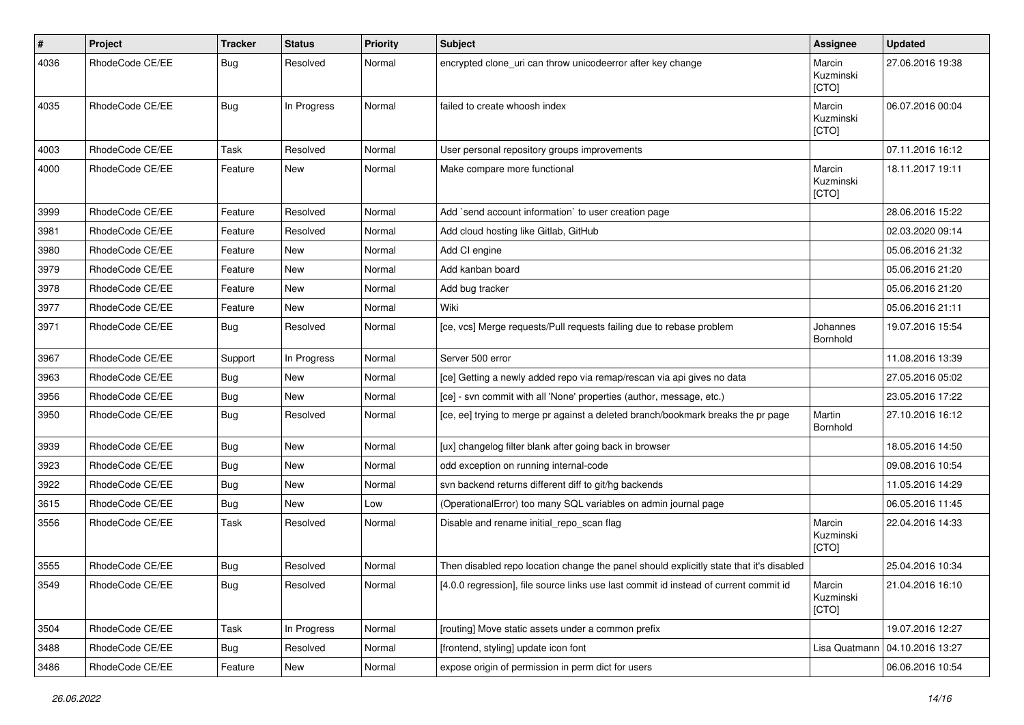| $\sharp$ | Project         | <b>Tracker</b> | <b>Status</b> | <b>Priority</b> | <b>Subject</b>                                                                          | <b>Assignee</b>              | <b>Updated</b>   |
|----------|-----------------|----------------|---------------|-----------------|-----------------------------------------------------------------------------------------|------------------------------|------------------|
| 4036     | RhodeCode CE/EE | Bug            | Resolved      | Normal          | encrypted clone_uri can throw unicodeerror after key change                             | Marcin<br>Kuzminski<br>[CTO] | 27.06.2016 19:38 |
| 4035     | RhodeCode CE/EE | Bug            | In Progress   | Normal          | failed to create whoosh index                                                           | Marcin<br>Kuzminski<br>[CTO] | 06.07.2016 00:04 |
| 4003     | RhodeCode CE/EE | Task           | Resolved      | Normal          | User personal repository groups improvements                                            |                              | 07.11.2016 16:12 |
| 4000     | RhodeCode CE/EE | Feature        | New           | Normal          | Make compare more functional                                                            | Marcin<br>Kuzminski<br>[CTO] | 18.11.2017 19:11 |
| 3999     | RhodeCode CE/EE | Feature        | Resolved      | Normal          | Add `send account information` to user creation page                                    |                              | 28.06.2016 15:22 |
| 3981     | RhodeCode CE/EE | Feature        | Resolved      | Normal          | Add cloud hosting like Gitlab, GitHub                                                   |                              | 02.03.2020 09:14 |
| 3980     | RhodeCode CE/EE | Feature        | <b>New</b>    | Normal          | Add CI engine                                                                           |                              | 05.06.2016 21:32 |
| 3979     | RhodeCode CE/EE | Feature        | New           | Normal          | Add kanban board                                                                        |                              | 05.06.2016 21:20 |
| 3978     | RhodeCode CE/EE | Feature        | New           | Normal          | Add bug tracker                                                                         |                              | 05.06.2016 21:20 |
| 3977     | RhodeCode CE/EE | Feature        | New           | Normal          | Wiki                                                                                    |                              | 05.06.2016 21:11 |
| 3971     | RhodeCode CE/EE | Bug            | Resolved      | Normal          | [ce, vcs] Merge requests/Pull requests failing due to rebase problem                    | Johannes<br>Bornhold         | 19.07.2016 15:54 |
| 3967     | RhodeCode CE/EE | Support        | In Progress   | Normal          | Server 500 error                                                                        |                              | 11.08.2016 13:39 |
| 3963     | RhodeCode CE/EE | Bug            | <b>New</b>    | Normal          | [ce] Getting a newly added repo via remap/rescan via api gives no data                  |                              | 27.05.2016 05:02 |
| 3956     | RhodeCode CE/EE | Bug            | <b>New</b>    | Normal          | [ce] - svn commit with all 'None' properties (author, message, etc.)                    |                              | 23.05.2016 17:22 |
| 3950     | RhodeCode CE/EE | Bug            | Resolved      | Normal          | [ce, ee] trying to merge pr against a deleted branch/bookmark breaks the pr page        | Martin<br>Bornhold           | 27.10.2016 16:12 |
| 3939     | RhodeCode CE/EE | Bug            | <b>New</b>    | Normal          | [ux] changelog filter blank after going back in browser                                 |                              | 18.05.2016 14:50 |
| 3923     | RhodeCode CE/EE | Bug            | New           | Normal          | odd exception on running internal-code                                                  |                              | 09.08.2016 10:54 |
| 3922     | RhodeCode CE/EE | Bug            | <b>New</b>    | Normal          | svn backend returns different diff to git/hg backends                                   |                              | 11.05.2016 14:29 |
| 3615     | RhodeCode CE/EE | <b>Bug</b>     | New           | Low             | (OperationalError) too many SQL variables on admin journal page                         |                              | 06.05.2016 11:45 |
| 3556     | RhodeCode CE/EE | Task           | Resolved      | Normal          | Disable and rename initial_repo_scan flag                                               | Marcin<br>Kuzminski<br>[CTO] | 22.04.2016 14:33 |
| 3555     | RhodeCode CE/EE | Bug            | Resolved      | Normal          | Then disabled repo location change the panel should explicitly state that it's disabled |                              | 25.04.2016 10:34 |
| 3549     | RhodeCode CE/EE | Bug            | Resolved      | Normal          | [4.0.0 regression], file source links use last commit id instead of current commit id   | Marcin<br>Kuzminski<br>[CTO] | 21.04.2016 16:10 |
| 3504     | RhodeCode CE/EE | Task           | In Progress   | Normal          | [routing] Move static assets under a common prefix                                      |                              | 19.07.2016 12:27 |
| 3488     | RhodeCode CE/EE | Bug            | Resolved      | Normal          | [frontend, styling] update icon font                                                    | Lisa Quatmann                | 04.10.2016 13:27 |
| 3486     | RhodeCode CE/EE | Feature        | New           | Normal          | expose origin of permission in perm dict for users                                      |                              | 06.06.2016 10:54 |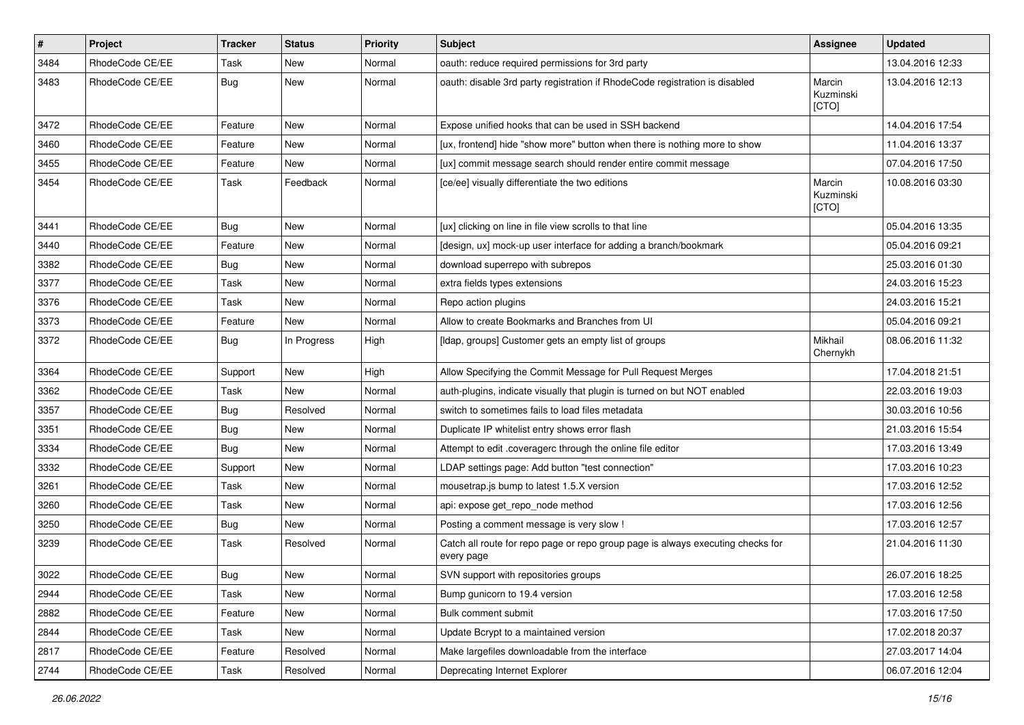| $\vert$ # | Project         | Tracker    | <b>Status</b> | <b>Priority</b> | <b>Subject</b>                                                                                | Assignee                     | <b>Updated</b>   |
|-----------|-----------------|------------|---------------|-----------------|-----------------------------------------------------------------------------------------------|------------------------------|------------------|
| 3484      | RhodeCode CE/EE | Task       | New           | Normal          | oauth: reduce required permissions for 3rd party                                              |                              | 13.04.2016 12:33 |
| 3483      | RhodeCode CE/EE | <b>Bug</b> | <b>New</b>    | Normal          | oauth: disable 3rd party registration if RhodeCode registration is disabled                   | Marcin<br>Kuzminski<br>[CTO] | 13.04.2016 12:13 |
| 3472      | RhodeCode CE/EE | Feature    | <b>New</b>    | Normal          | Expose unified hooks that can be used in SSH backend                                          |                              | 14.04.2016 17:54 |
| 3460      | RhodeCode CE/EE | Feature    | New           | Normal          | [ux, frontend] hide "show more" button when there is nothing more to show                     |                              | 11.04.2016 13:37 |
| 3455      | RhodeCode CE/EE | Feature    | New           | Normal          | [ux] commit message search should render entire commit message                                |                              | 07.04.2016 17:50 |
| 3454      | RhodeCode CE/EE | Task       | Feedback      | Normal          | [ce/ee] visually differentiate the two editions                                               | Marcin<br>Kuzminski<br>[CTO] | 10.08.2016 03:30 |
| 3441      | RhodeCode CE/EE | Bug        | New           | Normal          | [ux] clicking on line in file view scrolls to that line                                       |                              | 05.04.2016 13:35 |
| 3440      | RhodeCode CE/EE | Feature    | New           | Normal          | [design, ux] mock-up user interface for adding a branch/bookmark                              |                              | 05.04.2016 09:21 |
| 3382      | RhodeCode CE/EE | Bug        | <b>New</b>    | Normal          | download superrepo with subrepos                                                              |                              | 25.03.2016 01:30 |
| 3377      | RhodeCode CE/EE | Task       | New           | Normal          | extra fields types extensions                                                                 |                              | 24.03.2016 15:23 |
| 3376      | RhodeCode CE/EE | Task       | New           | Normal          | Repo action plugins                                                                           |                              | 24.03.2016 15:21 |
| 3373      | RhodeCode CE/EE | Feature    | New           | Normal          | Allow to create Bookmarks and Branches from UI                                                |                              | 05.04.2016 09:21 |
| 3372      | RhodeCode CE/EE | Bug        | In Progress   | High            | [Idap, groups] Customer gets an empty list of groups                                          | Mikhail<br>Chernykh          | 08.06.2016 11:32 |
| 3364      | RhodeCode CE/EE | Support    | New           | High            | Allow Specifying the Commit Message for Pull Request Merges                                   |                              | 17.04.2018 21:51 |
| 3362      | RhodeCode CE/EE | Task       | New           | Normal          | auth-plugins, indicate visually that plugin is turned on but NOT enabled                      |                              | 22.03.2016 19:03 |
| 3357      | RhodeCode CE/EE | Bug        | Resolved      | Normal          | switch to sometimes fails to load files metadata                                              |                              | 30.03.2016 10:56 |
| 3351      | RhodeCode CE/EE | <b>Bug</b> | New           | Normal          | Duplicate IP whitelist entry shows error flash                                                |                              | 21.03.2016 15:54 |
| 3334      | RhodeCode CE/EE | Bug        | <b>New</b>    | Normal          | Attempt to edit .coveragerc through the online file editor                                    |                              | 17.03.2016 13:49 |
| 3332      | RhodeCode CE/EE | Support    | New           | Normal          | LDAP settings page: Add button "test connection"                                              |                              | 17.03.2016 10:23 |
| 3261      | RhodeCode CE/EE | Task       | New           | Normal          | mousetrap.js bump to latest 1.5.X version                                                     |                              | 17.03.2016 12:52 |
| 3260      | RhodeCode CE/EE | Task       | <b>New</b>    | Normal          | api: expose get_repo_node method                                                              |                              | 17.03.2016 12:56 |
| 3250      | RhodeCode CE/EE | Bug        | New           | Normal          | Posting a comment message is very slow !                                                      |                              | 17.03.2016 12:57 |
| 3239      | RhodeCode CE/EE | Task       | Resolved      | Normal          | Catch all route for repo page or repo group page is always executing checks for<br>every page |                              | 21.04.2016 11:30 |
| 3022      | RhodeCode CE/EE | Bug        | New           | Normal          | SVN support with repositories groups                                                          |                              | 26.07.2016 18:25 |
| 2944      | RhodeCode CE/EE | Task       | New           | Normal          | Bump gunicorn to 19.4 version                                                                 |                              | 17.03.2016 12:58 |
| 2882      | RhodeCode CE/EE | Feature    | New           | Normal          | Bulk comment submit                                                                           |                              | 17.03.2016 17:50 |
| 2844      | RhodeCode CE/EE | Task       | New           | Normal          | Update Bcrypt to a maintained version                                                         |                              | 17.02.2018 20:37 |
| 2817      | RhodeCode CE/EE | Feature    | Resolved      | Normal          | Make largefiles downloadable from the interface                                               |                              | 27.03.2017 14:04 |
| 2744      | RhodeCode CE/EE | Task       | Resolved      | Normal          | Deprecating Internet Explorer                                                                 |                              | 06.07.2016 12:04 |